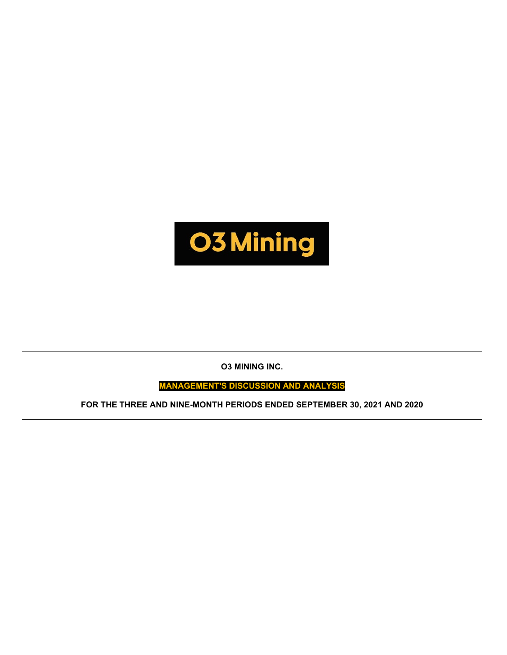

**O3 MINING INC.**

**MANAGEMENT'S DISCUSSION AND ANALYSIS**

**FOR THE THREE AND NINE-MONTH PERIODS ENDED SEPTEMBER 30, 2021 AND 2020**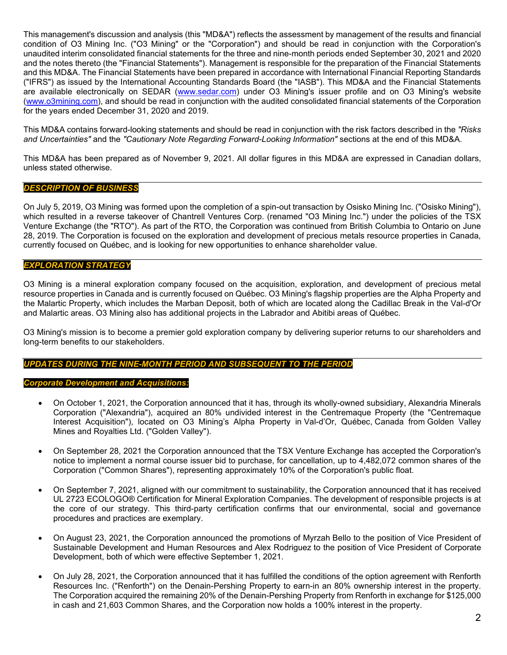This management's discussion and analysis (this "MD&A") reflects the assessment by management of the results and financial condition of O3 Mining Inc. ("O3 Mining" or the "Corporation") and should be read in conjunction with the Corporation's unaudited interim consolidated financial statements for the three and nine-month periods ended September 30, 2021 and 2020 and the notes thereto (the "Financial Statements"). Management is responsible for the preparation of the Financial Statements and this MD&A. The Financial Statements have been prepared in accordance with International Financial Reporting Standards ("IFRS") as issued by the International Accounting Standards Board (the "IASB"). This MD&A and the Financial Statements are available electronically on SEDAR [\(www.sedar.com\)](http://www.sedar.com/) under O3 Mining's issuer profile and on O3 Mining's website [\(www.o3mining.com\)](http://www.o3mining.com/), and should be read in conjunction with the audited consolidated financial statements of the Corporation for the years ended December 31, 2020 and 2019.

This MD&A contains forward-looking statements and should be read in conjunction with the risk factors described in the *"Risks and Uncertainties"* and the *"Cautionary Note Regarding Forward-Looking Information"* sections at the end of this MD&A.

This MD&A has been prepared as of November 9, 2021. All dollar figures in this MD&A are expressed in Canadian dollars, unless stated otherwise.

# *DESCRIPTION OF BUSINESS*

On July 5, 2019, O3 Mining was formed upon the completion of a spin-out transaction by Osisko Mining Inc. ("Osisko Mining"), which resulted in a reverse takeover of Chantrell Ventures Corp. (renamed "O3 Mining Inc.") under the policies of the TSX Venture Exchange (the "RTO"). As part of the RTO, the Corporation was continued from British Columbia to Ontario on June 28, 2019. The Corporation is focused on the exploration and development of precious metals resource properties in Canada, currently focused on Québec, and is looking for new opportunities to enhance shareholder value.

## *EXPLORATION STRATEGY*

O3 Mining is a mineral exploration company focused on the acquisition, exploration, and development of precious metal resource properties in Canada and is currently focused on Québec. O3 Mining's flagship properties are the Alpha Property and the Malartic Property, which includes the Marban Deposit, both of which are located along the Cadillac Break in the Val-d'Or and Malartic areas. O3 Mining also has additional projects in the Labrador and Abitibi areas of Québec.

O3 Mining's mission is to become a premier gold exploration company by delivering superior returns to our shareholders and long-term benefits to our stakeholders.

# *UPDATES DURING THE NINE-MONTH PERIOD AND SUBSEQUENT TO THE PERIOD*

### *Corporate Development and Acquisitions:*

- On October 1, 2021, the Corporation announced that it has, through its wholly-owned subsidiary, Alexandria Minerals Corporation ("Alexandria"), acquired an 80% undivided interest in the Centremaque Property (the "Centremaque Interest Acquisition"), located on O3 Mining's Alpha Property in Val-d'Or, Québec, Canada from Golden Valley Mines and Royalties Ltd. ("Golden Valley").
- On September 28, 2021 the Corporation announced that the TSX Venture Exchange has accepted the Corporation's notice to implement a normal course issuer bid to purchase, for cancellation, up to 4,482,072 common shares of the Corporation ("Common Shares"), representing approximately 10% of the Corporation's public float.
- On September 7, 2021, aligned with our commitment to sustainability, the Corporation announced that it has received UL 2723 ECOLOGO® Certification for Mineral Exploration Companies. The development of responsible projects is at the core of our strategy. This third-party certification confirms that our environmental, social and governance procedures and practices are exemplary.
- On August 23, 2021, the Corporation announced the promotions of Myrzah Bello to the position of Vice President of Sustainable Development and Human Resources and Alex Rodriguez to the position of Vice President of Corporate Development, both of which were effective September 1, 2021.
- On July 28, 2021, the Corporation announced that it has fulfilled the conditions of the option agreement with Renforth Resources Inc. ("Renforth") on the Denain-Pershing Property to earn-in an 80% ownership interest in the property. The Corporation acquired the remaining 20% of the Denain-Pershing Property from Renforth in exchange for \$125,000 in cash and 21,603 Common Shares, and the Corporation now holds a 100% interest in the property.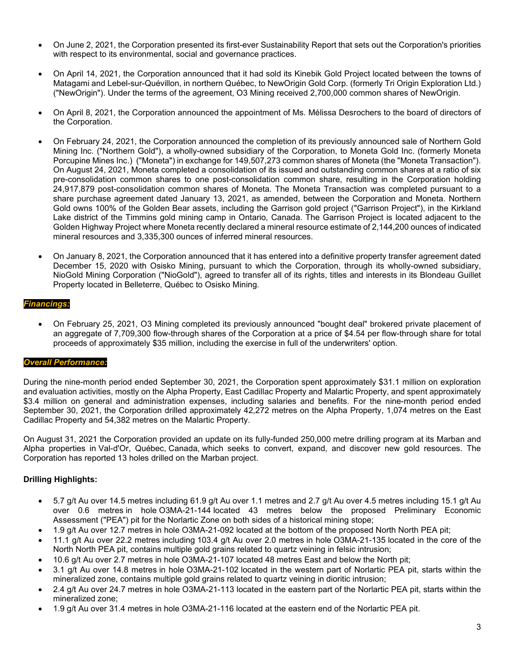- On June 2, 2021, the Corporation presented its first-ever Sustainability Report that sets out the Corporation's priorities with respect to its environmental, social and governance practices.
- On April 14, 2021, the Corporation announced that it had sold its Kinebik Gold Project located between the towns of Matagami and Lebel-sur-Quévillon, in northern Québec, to NewOrigin Gold Corp. (formerly Tri Origin Exploration Ltd.) ("NewOrigin"). Under the terms of the agreement, O3 Mining received 2,700,000 common shares of NewOrigin.
- On April 8, 2021, the Corporation announced the appointment of Ms. Mélissa Desrochers to the board of directors of the Corporation.
- On February 24, 2021, the Corporation announced the completion of its previously announced sale of Northern Gold Mining Inc. ("Northern Gold"), a wholly-owned subsidiary of the Corporation, to Moneta Gold Inc. (formerly Moneta Porcupine Mines Inc.) ("Moneta") in exchange for 149,507,273 common shares of Moneta (the "Moneta Transaction"). On August 24, 2021, Moneta completed a consolidation of its issued and outstanding common shares at a ratio of six pre-consolidation common shares to one post-consolidation common share, resulting in the Corporation holding 24,917,879 post-consolidation common shares of Moneta. The Moneta Transaction was completed pursuant to a share purchase agreement dated January 13, 2021, as amended, between the Corporation and Moneta. Northern Gold owns 100% of the Golden Bear assets, including the Garrison gold project ("Garrison Project"), in the Kirkland Lake district of the Timmins gold mining camp in Ontario, Canada. The Garrison Project is located adjacent to the Golden Highway Project where Moneta recently declared a mineral resource estimate of 2,144,200 ounces of indicated mineral resources and 3,335,300 ounces of inferred mineral resources.
- On January 8, 2021, the Corporation announced that it has entered into a definitive property transfer agreement dated December 15, 2020 with Osisko Mining, pursuant to which the Corporation, through its wholly-owned subsidiary, NioGold Mining Corporation ("NioGold"), agreed to transfer all of its rights, titles and interests in its Blondeau Guillet Property located in Belleterre, Québec to Osisko Mining.

## *Financings:*

• On February 25, 2021, O3 Mining completed its previously announced "bought deal" brokered private placement of an aggregate of 7,709,300 flow-through shares of the Corporation at a price of \$4.54 per flow-through share for total proceeds of approximately \$35 million, including the exercise in full of the underwriters' option.

### *Overall Performance:*

During the nine-month period ended September 30, 2021, the Corporation spent approximately \$31.1 million on exploration and evaluation activities, mostly on the Alpha Property, East Cadillac Property and Malartic Property, and spent approximately \$3.4 million on general and administration expenses, including salaries and benefits. For the nine-month period ended September 30, 2021, the Corporation drilled approximately 42,272 metres on the Alpha Property, 1,074 metres on the East Cadillac Property and 54,382 metres on the Malartic Property.

On August 31, 2021 the Corporation provided an update on its fully-funded 250,000 metre drilling program at its Marban and Alpha properties in Val-d'Or, Québec, Canada, which seeks to convert, expand, and discover new gold resources. The Corporation has reported 13 holes drilled on the Marban project.

# **Drilling Highlights:**

- 5.7 g/t Au over 14.5 metres including 61.9 g/t Au over 1.1 metres and 2.7 g/t Au over 4.5 metres including 15.1 g/t Au over 0.6 metres in hole O3MA-21-144 located 43 metres below the proposed [Preliminary Economic](https://c212.net/c/link/?t=0&l=en&o=3274898-1&h=2405195546&u=https%3A%2F%2Fo3mining.com%2Fnews%2Fo3-mining-delivers-positive-pea-for-marban-project%2F&a=Preliminary+Economic+Assessment)  [Assessment](https://c212.net/c/link/?t=0&l=en&o=3274898-1&h=2405195546&u=https%3A%2F%2Fo3mining.com%2Fnews%2Fo3-mining-delivers-positive-pea-for-marban-project%2F&a=Preliminary+Economic+Assessment) ("PEA") pit for the Norlartic Zone on both sides of a historical mining stope;
- 1.9 g/t Au over 12.7 metres in hole O3MA-21-092 located at the bottom of the proposed North North PEA pit;
- 11.1 g/t Au over 22.2 metres including 103.4 g/t Au over 2.0 metres in hole O3MA-21-135 located in the core of the North North PEA pit, contains multiple gold grains related to quartz veining in felsic intrusion;
- 10.6 g/t Au over 2.7 metres in hole O3MA-21-107 located 48 metres East and below the North pit;
- 3.1 g/t Au over 14.8 metres in hole O3MA-21-102 located in the western part of Norlartic PEA pit, starts within the mineralized zone, contains multiple gold grains related to quartz veining in dioritic intrusion;
- 2.4 g/t Au over 24.7 metres in hole O3MA-21-113 located in the eastern part of the Norlartic PEA pit, starts within the mineralized zone;
- 1.9 g/t Au over 31.4 metres in hole O3MA-21-116 located at the eastern end of the Norlartic PEA pit.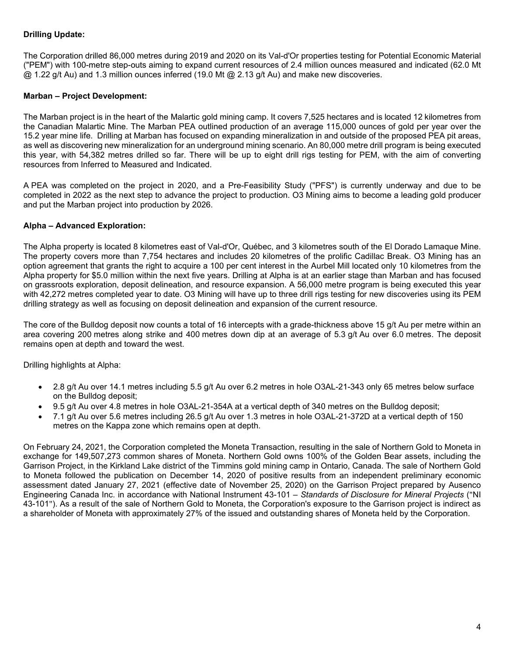# **Drilling Update:**

The Corporation drilled 86,000 metres during 2019 and 2020 on its Val-d'Or properties testing for Potential Economic Material ("PEM") with 100-metre step-outs aiming to expand current resources of 2.4 million ounces measured and indicated (62.0 Mt  $@$  1.22 g/t Au) and 1.3 million ounces inferred (19.0 Mt  $@$  2.13 g/t Au) and make new discoveries.

# **Marban – Project Development:**

The Marban project is in the heart of the Malartic gold mining camp. It covers 7,525 hectares and is located 12 kilometres from the Canadian Malartic Mine. The Marban PEA outlined production of an average 115,000 ounces of gold per year over the 15.2 year mine life. Drilling at Marban has focused on expanding mineralization in and outside of the proposed PEA pit areas, as well as discovering new mineralization for an underground mining scenario. An 80,000 metre drill program is being executed this year, with 54,382 metres drilled so far. There will be up to eight drill rigs testing for PEM, with the aim of converting resources from Inferred to Measured and Indicated.

A [PEA was completed](https://c212.net/c/link/?t=0&l=en&o=3274898-1&h=3177325692&u=https%3A%2F%2Fo3mining.com%2Fnews%2Fo3-mining-delivers-positive-pea-for-marban-project%2F&a=PEA+was+completed) on the project in 2020, and a Pre-Feasibility Study ("PFS") is currently underway and due to be completed in 2022 as the next step to advance the project to production. O3 Mining aims to become a leading gold producer and put the Marban project into production by 2026.

# **Alpha – Advanced Exploration:**

The Alpha property is located 8 kilometres east of Val-d'Or, Québec, and 3 kilometres south of the El Dorado Lamaque Mine. The property covers more than 7,754 hectares and includes 20 kilometres of the prolific Cadillac Break. O3 Mining has an option agreement that grants the right to acquire a 100 per cent interest in the Aurbel Mill located only 10 kilometres from the Alpha property for \$5.0 million within the next five years. Drilling at Alpha is at an earlier stage than Marban and has focused on grassroots exploration, deposit delineation, and resource expansion. A 56,000 metre program is being executed this year with 42,272 metres completed year to date. O3 Mining will have up to three drill rigs testing for new discoveries using its PEM drilling strategy as well as focusing on deposit delineation and expansion of the current resource.

The core of the Bulldog deposit now counts a total of 16 intercepts with a grade-thickness above 15 g/t Au per metre within an area covering 200 metres along strike and 400 metres down dip at an average of 5.3 g/t Au over 6.0 metres. The deposit remains open at depth and toward the west.

Drilling highlights at Alpha:

- 2.8 g/t Au over 14.1 metres including 5.5 g/t Au over 6.2 metres in hole O3AL-21-343 only 65 metres below surface on the Bulldog deposit;
- 9.5 g/t Au over 4.8 metres in hole O3AL-21-354A at a vertical depth of 340 metres on the Bulldog deposit;
- 7.1 g/t Au over 5.6 metres including 26.5 g/t Au over 1.3 metres in hole O3AL-21-372D at a vertical depth of 150 metres on the Kappa zone which remains open at depth.

On February 24, 2021, the Corporation completed the Moneta Transaction, resulting in the sale of Northern Gold to Moneta in exchange for 149,507,273 common shares of Moneta. Northern Gold owns 100% of the Golden Bear assets, including the Garrison Project, in the Kirkland Lake district of the Timmins gold mining camp in Ontario, Canada. The sale of Northern Gold to Moneta followed the publication on December 14, 2020 of positive results from an independent preliminary economic assessment dated January 27, 2021 (effective date of November 25, 2020) on the Garrison Project prepared by Ausenco Engineering Canada Inc. in accordance with National Instrument 43-101 – *Standards of Disclosure for Mineral Projects* ("NI 43-101"). As a result of the sale of Northern Gold to Moneta, the Corporation's exposure to the Garrison project is indirect as a shareholder of Moneta with approximately 27% of the issued and outstanding shares of Moneta held by the Corporation.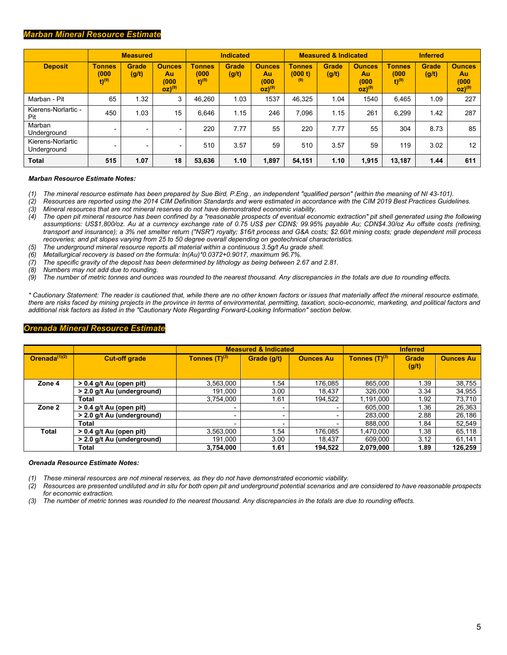### *Marban Mineral Resource Estimate*

|                                  |                                                | <b>Measured</b>   |                                                      | <b>Indicated</b>                              |                       |                                                      |                                 | <b>Measured &amp; Indicated</b> |                                             | <b>Inferred</b>                               |                       |                                                      |  |
|----------------------------------|------------------------------------------------|-------------------|------------------------------------------------------|-----------------------------------------------|-----------------------|------------------------------------------------------|---------------------------------|---------------------------------|---------------------------------------------|-----------------------------------------------|-----------------------|------------------------------------------------------|--|
| <b>Deposit</b>                   | <b>Tonnes</b><br>(000)<br>$(t)$ <sup>(9)</sup> | Grade<br>(g/t)    | <b>Ounces</b><br>Au<br>(000)<br>$OZ)$ <sup>(9)</sup> | <b>Tonnes</b><br>(000)<br>$t)$ <sup>(9)</sup> | <b>Grade</b><br>(g/t) | <b>Ounces</b><br>Au<br>(000)<br>$OZ)$ <sup>(9)</sup> | <b>Tonnes</b><br>(000 t)<br>(9) | <b>Grade</b><br>(g/t)           | <b>Ounces</b><br>Au<br>(000)<br>$OZ)^{(9)}$ | <b>Tonnes</b><br>(000)<br>$t)$ <sup>(9)</sup> | <b>Grade</b><br>(g/t) | <b>Ounces</b><br>Au<br>(000)<br>$OZ)$ <sup>(9)</sup> |  |
| Marban - Pit                     | 65                                             | 1.32 <sub>1</sub> | 3                                                    | 46.260                                        | 1.03                  | 1537                                                 | 46.325                          | 1.04                            | 1540                                        | 6.465                                         | 1.09                  | 227                                                  |  |
| Kierens-Norlartic -<br>Pit       | 450                                            | 1.03              | 15                                                   | 6,646                                         | 1.15                  | 246                                                  | 7.096                           | 1.15                            | 261                                         | 6.299                                         | 1.42                  | 287                                                  |  |
| Marban<br>Underground            |                                                | -                 | $\overline{\phantom{0}}$                             | 220                                           | 7.77                  | 55                                                   | 220                             | 7.77                            | 55                                          | 304                                           | 8.73                  | 85                                                   |  |
| Kierens-Norlartic<br>Underground | -                                              | -                 | $\overline{\phantom{0}}$                             | 510                                           | 3.57                  | 59                                                   | 510                             | 3.57                            | 59                                          | 119                                           | 3.02                  | 12                                                   |  |
| Total                            | 515                                            | 1.07              | 18                                                   | 53,636                                        | 1.10                  | 1,897                                                | 54,151                          | 1.10                            | 1,915                                       | 13,187                                        | 1.44                  | 611                                                  |  |

#### *Marban Resource Estimate Notes:*

- *(1) The mineral resource estimate has been prepared by Sue Bird, P.Eng., an independent "qualified person" (within the meaning of NI 43-101).*
- *(2) Resources are reported using the 2014 CIM Definition Standards and were estimated in accordance with the CIM 2019 Best Practices Guidelines.*
- *(3) Mineral resources that are not mineral reserves do not have demonstrated economic viability.* The open pit mineral resource has been confined by a "reasonable prospects of eventual economic extraction" pit shell generated using the following *assumptions: US\$1,800/oz. Au at a currency exchange rate of 0.75 US\$ per CDN\$; 99.95% payable Au; CDN\$4.30/oz Au offsite costs (refining, transport and insurance); a 3% net smelter return ("NSR") royalty; \$16/t process and G&A costs; \$2.60/t mining costs; grade dependent mill process recoveries; and pit slopes varying from 25 to 50 degree overall depending on geotechnical characteristics.*
- *(5) The underground mineral resource reports all material within a continuous 3.5g/t Au grade shell.*
- *(6) Metallurgical recovery is based on the formula: ln(Au)\*0.0372+0.9017, maximum 96.7%.*
- *(7) The specific gravity of the deposit has been determined by lithology as being between 2.67 and 2.81.*
- *(8) Numbers may not add due to rounding.*
- *(9) The number of metric tonnes and ounces was rounded to the nearest thousand. Any discrepancies in the totals are due to rounding effects.*

*\* Cautionary Statement: The reader is cautioned that, while there are no other known factors or issues that materially affect the mineral resource estimate, there are risks faced by mining projects in the province in terms of environmental, permitting, taxation, socio-economic, marketing, and political factors and additional risk factors as listed in the "Cautionary Note Regarding Forward-Looking Information" section below.*

#### *Orenada Mineral Resource Estimate*

|                  |                            |                          | <b>Measured &amp; Indicated</b> |                          |                    | <b>Inferred</b>       |                  |
|------------------|----------------------------|--------------------------|---------------------------------|--------------------------|--------------------|-----------------------|------------------|
| Orenada $(1)(2)$ | <b>Cut-off grade</b>       | Tonnes $(T)^{(3)}$       | Grade (g/t)                     | <b>Ounces Au</b>         | Tonnes $(T)^{(3)}$ | <b>Grade</b><br>(g/t) | <b>Ounces Au</b> |
| Zone 4           | > 0.4 g/t Au (open pit)    | 3,563,000                | 1.54                            | 176,085                  | 865.000            | 1.39                  | 38,755           |
|                  | > 2.0 g/t Au (underground) | 191,000                  | 3.00                            | 18,437                   | 326,000            | 3.34                  | 34,955           |
|                  | Total                      | 3,754,000                | 1.61                            | 194,522                  | 1,191,000          | 1.92                  | 73,710           |
| Zone 2           | $> 0.4$ g/t Au (open pit)  | ٠                        | $\overline{\phantom{a}}$        | $\overline{\phantom{a}}$ | 605.000            | 1.36                  | 26,363           |
|                  | > 2.0 g/t Au (underground) | ٠                        | $\overline{\phantom{0}}$        |                          | 283.000            | 2.88                  | 26,186           |
|                  | Total                      | $\overline{\phantom{0}}$ | $\overline{\phantom{0}}$        |                          | 888,000            | 1.84                  | 52,549           |
| Total            | $> 0.4$ g/t Au (open pit)  | 3,563,000                | 1.54                            | 176.085                  | 1.470.000          | 1.38                  | 65,118           |
|                  | > 2.0 g/t Au (underground) | 191.000                  | 3.00                            | 18,437                   | 609.000            | 3.12                  | 61.141           |
|                  | Total                      | 3,754,000                | 1.61                            | 194,522                  | 2,079,000          | 1.89                  | 126,259          |

#### *Orenada Resource Estimate Notes:*

*(1) These mineral resources are not mineral reserves, as they do not have demonstrated economic viability.* 

*(2) Resources are presented undiluted and in situ for both open pit and underground potential scenarios and are considered to have reasonable prospects for economic extraction.* 

*(3) The number of metric tonnes was rounded to the nearest thousand. Any discrepancies in the totals are due to rounding effects.*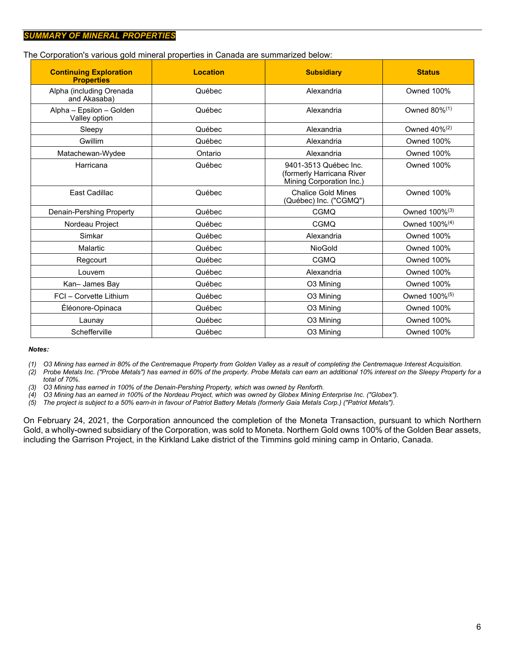The Corporation's various gold mineral properties in Canada are summarized below:

| <b>Continuing Exploration</b><br><b>Properties</b> | <b>Location</b> | <b>Subsidiary</b>                                                              | <b>Status</b>             |
|----------------------------------------------------|-----------------|--------------------------------------------------------------------------------|---------------------------|
| Alpha (including Orenada<br>and Akasaba)           | Québec          | Alexandria                                                                     | <b>Owned 100%</b>         |
| Alpha - Epsilon - Golden<br>Valley option          | Québec          | Alexandria                                                                     | Owned 80% <sup>(1)</sup>  |
| Sleepy                                             | Québec          | Alexandria                                                                     | Owned $40\%^{(2)}$        |
| Gwillim                                            | Québec          | Alexandria                                                                     | Owned 100%                |
| Matachewan-Wydee                                   | Ontario         | Alexandria                                                                     | <b>Owned 100%</b>         |
| Harricana                                          | Québec          | 9401-3513 Québec Inc.<br>(formerly Harricana River<br>Mining Corporation Inc.) | <b>Owned 100%</b>         |
| East Cadillac                                      | Québec          | <b>Chalice Gold Mines</b><br>(Québec) Inc. ("CGMQ")                            | <b>Owned 100%</b>         |
| Denain-Pershing Property                           | Québec          | CGMQ                                                                           | Owned 100% <sup>(3)</sup> |
| Nordeau Project                                    | Québec          | <b>CGMQ</b>                                                                    | Owned 100% <sup>(4)</sup> |
| Simkar                                             | Québec          | Alexandria                                                                     | Owned 100%                |
| Malartic                                           | Québec          | <b>NioGold</b>                                                                 | Owned 100%                |
| Regcourt                                           | Québec          | <b>CGMQ</b>                                                                    | Owned 100%                |
| Louvem                                             | Québec          | Alexandria                                                                     | Owned 100%                |
| Kan-James Bay                                      | Québec          | O3 Mining                                                                      | Owned 100%                |
| FCI - Corvette Lithium                             | Québec          | O3 Mining                                                                      | Owned 100% <sup>(5)</sup> |
| Éléonore-Opinaca                                   | Québec          | O3 Mining                                                                      | <b>Owned 100%</b>         |
| Launay                                             | Québec          | O3 Mining                                                                      | <b>Owned 100%</b>         |
| Schefferville                                      | Québec          | O3 Mining                                                                      | <b>Owned 100%</b>         |

#### *Notes:*

*(1) O3 Mining has earned in 80% of the Centremaque Property from Golden Valley as a result of completing the Centremaque Interest Acquisition.*

*(2) Probe Metals Inc. ("Probe Metals") has earned in 60% of the property. Probe Metals can earn an additional 10% interest on the Sleepy Property for a total of 70%.*

*(3) O3 Mining has earned in 100% of the Denain-Pershing Property, which was owned by Renforth.*

*(4) O3 Mining has an earned in 100% of the Nordeau Project, which was owned by Globex Mining Enterprise Inc. ("Globex").*

*(5) The project is subject to a 50% earn-in in favour of Patriot Battery Metals (formerly Gaia Metals Corp.) ("Patriot Metals").*

On February 24, 2021, the Corporation announced the completion of the Moneta Transaction, pursuant to which Northern Gold, a wholly-owned subsidiary of the Corporation, was sold to Moneta. Northern Gold owns 100% of the Golden Bear assets, including the Garrison Project, in the Kirkland Lake district of the Timmins gold mining camp in Ontario, Canada.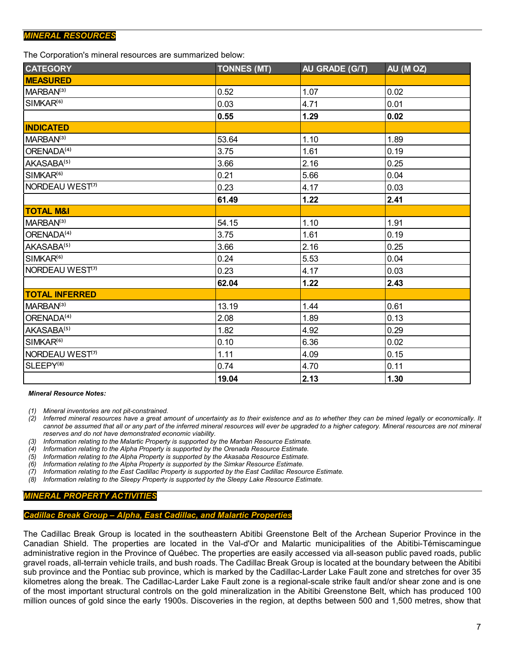## *MINERAL RESOURCES*

The Corporation's mineral resources are summarized below:

| <b>CATEGORY</b>             | <b>TONNES (MT)</b> | AU GRADE (G/T) | AU (MOZ) |
|-----------------------------|--------------------|----------------|----------|
| <b>MEASURED</b>             |                    |                |          |
| MARBAN <sup>(3)</sup>       | 0.52               | 1.07           | 0.02     |
| SIMKAR <sup>(6)</sup>       | 0.03               | 4.71           | 0.01     |
|                             | 0.55               | 1.29           | 0.02     |
| <b>INDICATED</b>            |                    |                |          |
| MARBAN <sup>(3)</sup>       | 53.64              | 1.10           | 1.89     |
| ORENADA <sup>(4)</sup>      | 3.75               | 1.61           | 0.19     |
| AKASABA <sup>(5)</sup>      | 3.66               | 2.16           | 0.25     |
| SIMKAR <sup>(6)</sup>       | 0.21               | 5.66           | 0.04     |
| NORDEAU WEST <sup>(7)</sup> | 0.23               | 4.17           | 0.03     |
|                             | 61.49              | 1.22           | 2.41     |
| <b>TOTAL M&amp;I</b>        |                    |                |          |
| MARBAN <sup>(3)</sup>       | 54.15              | 1.10           | 1.91     |
| ORENADA <sup>(4)</sup>      | 3.75               | 1.61           | 0.19     |
| AKASABA <sup>(5)</sup>      | 3.66               | 2.16           | 0.25     |
| SIMKAR <sup>(6)</sup>       | 0.24               | 5.53           | 0.04     |
| NORDEAU WEST <sup>(7)</sup> | 0.23               | 4.17           | 0.03     |
|                             | 62.04              | 1.22           | 2.43     |
| <b>TOTAL INFERRED</b>       |                    |                |          |
| MARBAN <sup>(3)</sup>       | 13.19              | 1.44           | 0.61     |
| ORENADA <sup>(4)</sup>      | 2.08               | 1.89           | 0.13     |
| AKASABA <sup>(5)</sup>      | 1.82               | 4.92           | 0.29     |
| SIMKAR <sup>(6)</sup>       | 0.10               | 6.36           | 0.02     |
| NORDEAU WEST <sup>(7)</sup> | 1.11               | 4.09           | 0.15     |
| SLEEPY <sup>(8)</sup>       | 0.74               | 4.70           | 0.11     |
|                             | 19.04              | 2.13           | 1.30     |

*Mineral Resource Notes:*

*(1) Mineral inventories are not pit-constrained.*

*(2) Inferred mineral resources have a great amount of uncertainty as to their existence and as to whether they can be mined legally or economically. It cannot be assumed that all or any part of the inferred mineral resources will ever be upgraded to a higher category. Mineral resources are not mineral reserves and do not have demonstrated economic viability.*

*(3) Information relating to the Malartic Property is supported by the Marban Resource Estimate.*

*(4) Information relating to the Alpha Property is supported by the Orenada Resource Estimate.*

*(5) Information relating to the Alpha Property is supported by the Akasaba Resource Estimate.*

*(6) Information relating to the Alpha Property is supported by the Simkar Resource Estimate.*

*(7) Information relating to the East Cadillac Property is supported by the East Cadillac Resource Estimate.*

*(8) Information relating to the Sleepy Property is supported by the Sleepy Lake Resource Estimate.*

# *MINERAL PROPERTY ACTIVITIES*

#### *Cadillac Break Group – Alpha, East Cadillac, and Malartic Properties*

The Cadillac Break Group is located in the southeastern Abitibi Greenstone Belt of the Archean Superior Province in the Canadian Shield. The properties are located in the Val-d'Or and Malartic municipalities of the Abitibi-Témiscamingue administrative region in the Province of Québec. The properties are easily accessed via all-season public paved roads, public gravel roads, all-terrain vehicle trails, and bush roads. The Cadillac Break Group is located at the boundary between the Abitibi sub province and the Pontiac sub province, which is marked by the Cadillac-Larder Lake Fault zone and stretches for over 35 kilometres along the break. The Cadillac-Larder Lake Fault zone is a regional-scale strike fault and/or shear zone and is one of the most important structural controls on the gold mineralization in the Abitibi Greenstone Belt, which has produced 100 million ounces of gold since the early 1900s. Discoveries in the region, at depths between 500 and 1,500 metres, show that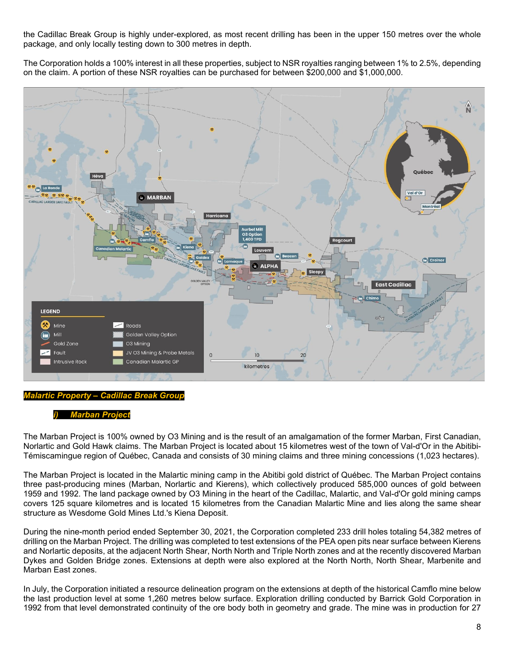the Cadillac Break Group is highly under-explored, as most recent drilling has been in the upper 150 metres over the whole package, and only locally testing down to 300 metres in depth.

The Corporation holds a 100% interest in all these properties, subject to NSR royalties ranging between 1% to 2.5%, depending on the claim. A portion of these NSR royalties can be purchased for between \$200,000 and \$1,000,000.



#### *Malartic Property – Cadillac Break Group*

#### *i) Marban Project*

The Marban Project is 100% owned by O3 Mining and is the result of an amalgamation of the former Marban, First Canadian, Norlartic and Gold Hawk claims. The Marban Project is located about 15 kilometres west of the town of Val-d'Or in the Abitibi-Témiscamingue region of Québec, Canada and consists of 30 mining claims and three mining concessions (1,023 hectares).

The Marban Project is located in the Malartic mining camp in the Abitibi gold district of Québec. The Marban Project contains three past-producing mines (Marban, Norlartic and Kierens), which collectively produced 585,000 ounces of gold between 1959 and 1992. The land package owned by O3 Mining in the heart of the Cadillac, Malartic, and Val-d'Or gold mining camps covers 125 square kilometres and is located 15 kilometres from the Canadian Malartic Mine and lies along the same shear structure as Wesdome Gold Mines Ltd.'s Kiena Deposit.

During the nine-month period ended September 30, 2021, the Corporation completed 233 drill holes totaling 54,382 metres of drilling on the Marban Project. The drilling was completed to test extensions of the PEA open pits near surface between Kierens and Norlartic deposits, at the adjacent North Shear, North North and Triple North zones and at the recently discovered Marban Dykes and Golden Bridge zones. Extensions at depth were also explored at the North North, North Shear, Marbenite and Marban East zones.

In July, the Corporation initiated a resource delineation program on the extensions at depth of the historical Camflo mine below the last production level at some 1,260 metres below surface. Exploration drilling conducted by Barrick Gold Corporation in 1992 from that level demonstrated continuity of the ore body both in geometry and grade. The mine was in production for 27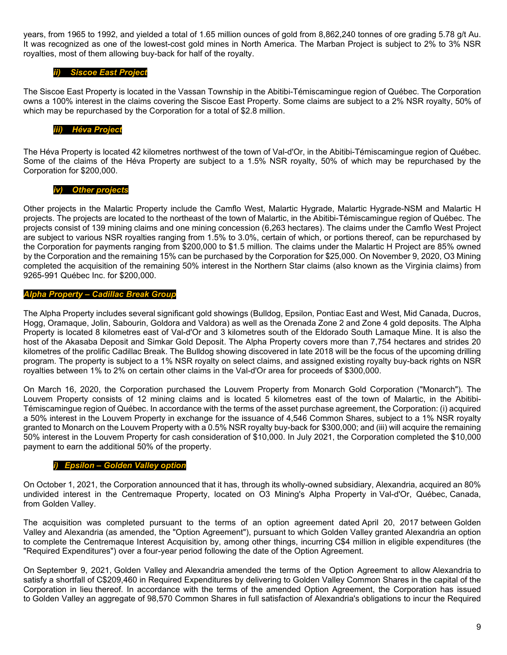years, from 1965 to 1992, and yielded a total of 1.65 million ounces of gold from 8,862,240 tonnes of ore grading 5.78 g/t Au. It was recognized as one of the lowest-cost gold mines in North America. The Marban Project is subject to 2% to 3% NSR royalties, most of them allowing buy-back for half of the royalty.

### *ii) Siscoe East Project*

The Siscoe East Property is located in the Vassan Township in the Abitibi-Témiscamingue region of Québec. The Corporation owns a 100% interest in the claims covering the Siscoe East Property. Some claims are subject to a 2% NSR royalty, 50% of which may be repurchased by the Corporation for a total of \$2.8 million.

## *iii) Héva Project*

The Héva Property is located 42 kilometres northwest of the town of Val-d'Or, in the Abitibi-Témiscamingue region of Québec. Some of the claims of the Héva Property are subject to a 1.5% NSR royalty, 50% of which may be repurchased by the Corporation for \$200,000.

### *iv) Other projects*

Other projects in the Malartic Property include the Camflo West, Malartic Hygrade, Malartic Hygrade-NSM and Malartic H projects. The projects are located to the northeast of the town of Malartic, in the Abitibi-Témiscamingue region of Québec. The projects consist of 139 mining claims and one mining concession (6,263 hectares). The claims under the Camflo West Project are subject to various NSR royalties ranging from 1.5% to 3.0%, certain of which, or portions thereof, can be repurchased by the Corporation for payments ranging from \$200,000 to \$1.5 million. The claims under the Malartic H Project are 85% owned by the Corporation and the remaining 15% can be purchased by the Corporation for \$25,000. On November 9, 2020, O3 Mining completed the acquisition of the remaining 50% interest in the Northern Star claims (also known as the Virginia claims) from 9265-991 Québec Inc. for \$200,000.

### *Alpha Property – Cadillac Break Group*

The Alpha Property includes several significant gold showings (Bulldog, Epsilon, Pontiac East and West, Mid Canada, Ducros, Hogg, Oramaque, Jolin, Sabourin, Goldora and Valdora) as well as the Orenada Zone 2 and Zone 4 gold deposits. The Alpha Property is located 8 kilometres east of Val-d'Or and 3 kilometres south of the Eldorado South Lamaque Mine. It is also the host of the Akasaba Deposit and Simkar Gold Deposit. The Alpha Property covers more than 7,754 hectares and strides 20 kilometres of the prolific Cadillac Break. The Bulldog showing discovered in late 2018 will be the focus of the upcoming drilling program. The property is subject to a 1% NSR royalty on select claims, and assigned existing royalty buy-back rights on NSR royalties between 1% to 2% on certain other claims in the Val-d'Or area for proceeds of \$300,000.

On March 16, 2020, the Corporation purchased the Louvem Property from Monarch Gold Corporation ("Monarch"). The Louvem Property consists of 12 mining claims and is located 5 kilometres east of the town of Malartic, in the Abitibi-Témiscamingue region of Québec. In accordance with the terms of the asset purchase agreement, the Corporation: (i) acquired a 50% interest in the Louvem Property in exchange for the issuance of 4,546 Common Shares, subject to a 1% NSR royalty granted to Monarch on the Louvem Property with a 0.5% NSR royalty buy-back for \$300,000; and (iii) will acquire the remaining 50% interest in the Louvem Property for cash consideration of \$10,000. In July 2021, the Corporation completed the \$10,000 payment to earn the additional 50% of the property.

### *i) Epsilon – Golden Valley option*

On October 1, 2021, the Corporation announced that it has, through its wholly-owned subsidiary, Alexandria, acquired an 80% undivided interest in the Centremaque Property, located on O3 Mining's Alpha Property in Val-d'Or, Québec, Canada, from Golden Valley.

The acquisition was completed pursuant to the terms of an option agreement dated April 20, 2017 between Golden Valley and Alexandria (as amended, the "Option Agreement"), pursuant to which Golden Valley granted Alexandria an option to complete the Centremaque Interest Acquisition by, among other things, incurring C\$4 million in eligible expenditures (the "Required Expenditures") over a four-year period following the date of the Option Agreement.

On September 9, 2021, Golden Valley and Alexandria amended the terms of the Option Agreement to allow Alexandria to satisfy a shortfall of C\$209,460 in Required Expenditures by delivering to Golden Valley Common Shares in the capital of the Corporation in lieu thereof. In accordance with the terms of the amended Option Agreement, the Corporation has issued to Golden Valley an aggregate of 98,570 Common Shares in full satisfaction of Alexandria's obligations to incur the Required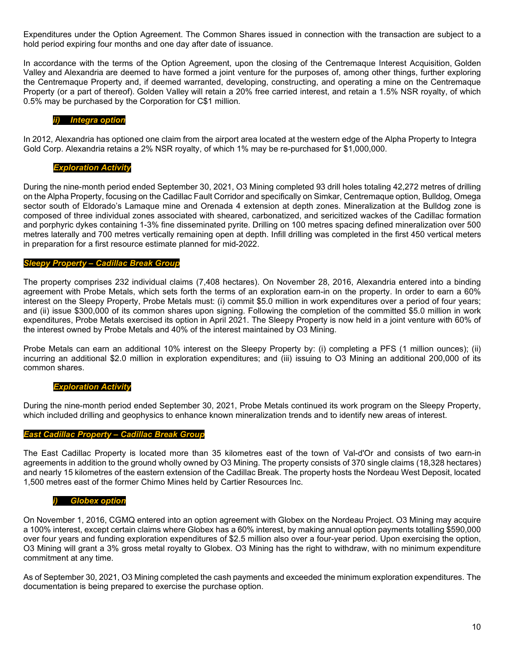Expenditures under the Option Agreement. The Common Shares issued in connection with the transaction are subject to a hold period expiring four months and one day after date of issuance.

In accordance with the terms of the Option Agreement, upon the closing of the Centremaque Interest Acquisition, Golden Valley and Alexandria are deemed to have formed a joint venture for the purposes of, among other things, further exploring the Centremaque Property and, if deemed warranted, developing, constructing, and operating a mine on the Centremaque Property (or a part of thereof). Golden Valley will retain a 20% free carried interest, and retain a 1.5% NSR royalty, of which 0.5% may be purchased by the Corporation for C\$1 million.

### *ii) Integra option*

In 2012, Alexandria has optioned one claim from the airport area located at the western edge of the Alpha Property to Integra Gold Corp. Alexandria retains a 2% NSR royalty, of which 1% may be re-purchased for \$1,000,000.

### *Exploration Activity*

During the nine-month period ended September 30, 2021, O3 Mining completed 93 drill holes totaling 42,272 metres of drilling on the Alpha Property, focusing on the Cadillac Fault Corridor and specifically on Simkar, Centremaque option, Bulldog, Omega sector south of Eldorado's Lamaque mine and Orenada 4 extension at depth zones. Mineralization at the Bulldog zone is composed of three individual zones associated with sheared, carbonatized, and sericitized wackes of the Cadillac formation and porphyric dykes containing 1-3% fine disseminated pyrite. Drilling on 100 metres spacing defined mineralization over 500 metres laterally and 700 metres vertically remaining open at depth. Infill drilling was completed in the first 450 vertical meters in preparation for a first resource estimate planned for mid-2022.

### *Sleepy Property – Cadillac Break Group*

The property comprises 232 individual claims (7,408 hectares). On November 28, 2016, Alexandria entered into a binding agreement with Probe Metals, which sets forth the terms of an exploration earn-in on the property. In order to earn a 60% interest on the Sleepy Property, Probe Metals must: (i) commit \$5.0 million in work expenditures over a period of four years; and (ii) issue \$300,000 of its common shares upon signing. Following the completion of the committed \$5.0 million in work expenditures, Probe Metals exercised its option in April 2021. The Sleepy Property is now held in a joint venture with 60% of the interest owned by Probe Metals and 40% of the interest maintained by O3 Mining.

Probe Metals can earn an additional 10% interest on the Sleepy Property by: (i) completing a PFS (1 million ounces); (ii) incurring an additional \$2.0 million in exploration expenditures; and (iii) issuing to O3 Mining an additional 200,000 of its common shares.

### *Exploration Activity*

During the nine-month period ended September 30, 2021, Probe Metals continued its work program on the Sleepy Property, which included drilling and geophysics to enhance known mineralization trends and to identify new areas of interest.

#### *East Cadillac Property – Cadillac Break Group*

The East Cadillac Property is located more than 35 kilometres east of the town of Val-d'Or and consists of two earn-in agreements in addition to the ground wholly owned by O3 Mining. The property consists of 370 single claims (18,328 hectares) and nearly 15 kilometres of the eastern extension of the Cadillac Break. The property hosts the Nordeau West Deposit, located 1,500 metres east of the former Chimo Mines held by Cartier Resources Inc.

#### *i) Globex option*

On November 1, 2016, CGMQ entered into an option agreement with Globex on the Nordeau Project. O3 Mining may acquire a 100% interest, except certain claims where Globex has a 60% interest, by making annual option payments totalling \$590,000 over four years and funding exploration expenditures of \$2.5 million also over a four-year period. Upon exercising the option, O3 Mining will grant a 3% gross metal royalty to Globex. O3 Mining has the right to withdraw, with no minimum expenditure commitment at any time.

As of September 30, 2021, O3 Mining completed the cash payments and exceeded the minimum exploration expenditures. The documentation is being prepared to exercise the purchase option.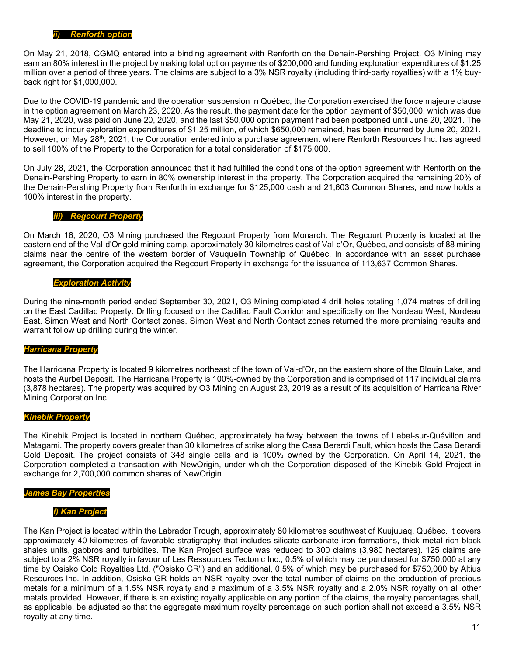On May 21, 2018, CGMQ entered into a binding agreement with Renforth on the Denain-Pershing Project. O3 Mining may earn an 80% interest in the project by making total option payments of \$200,000 and funding exploration expenditures of \$1.25 million over a period of three years. The claims are subject to a 3% NSR royalty (including third-party royalties) with a 1% buyback right for \$1,000,000.

Due to the COVID-19 pandemic and the operation suspension in Québec, the Corporation exercised the force majeure clause in the option agreement on March 23, 2020. As the result, the payment date for the option payment of \$50,000, which was due May 21, 2020, was paid on June 20, 2020, and the last \$50,000 option payment had been postponed until June 20, 2021. The deadline to incur exploration expenditures of \$1.25 million, of which \$650,000 remained, has been incurred by June 20, 2021. However, on May 28<sup>th</sup>, 2021, the Corporation entered into a purchase agreement where Renforth Resources Inc. has agreed to sell 100% of the Property to the Corporation for a total consideration of \$175,000.

On July 28, 2021, the Corporation announced that it had fulfilled the conditions of the option agreement with Renforth on the Denain-Pershing Property to earn in 80% ownership interest in the property. The Corporation acquired the remaining 20% of the Denain-Pershing Property from Renforth in exchange for \$125,000 cash and 21,603 Common Shares, and now holds a 100% interest in the property.

#### *iii) Regcourt Property*

On March 16, 2020, O3 Mining purchased the Regcourt Property from Monarch. The Regcourt Property is located at the eastern end of the Val-d'Or gold mining camp, approximately 30 kilometres east of Val-d'Or, Québec, and consists of 88 mining claims near the centre of the western border of Vauquelin Township of Québec. In accordance with an asset purchase agreement, the Corporation acquired the Regcourt Property in exchange for the issuance of 113,637 Common Shares.

#### *Exploration Activity*

During the nine-month period ended September 30, 2021, O3 Mining completed 4 drill holes totaling 1,074 metres of drilling on the East Cadillac Property. Drilling focused on the Cadillac Fault Corridor and specifically on the Nordeau West, Nordeau East, Simon West and North Contact zones. Simon West and North Contact zones returned the more promising results and warrant follow up drilling during the winter.

#### *Harricana Property*

The Harricana Property is located 9 kilometres northeast of the town of Val-d'Or, on the eastern shore of the Blouin Lake, and hosts the Aurbel Deposit. The Harricana Property is 100%-owned by the Corporation and is comprised of 117 individual claims (3,878 hectares). The property was acquired by O3 Mining on August 23, 2019 as a result of its acquisition of Harricana River Mining Corporation Inc.

#### *Kinebik Property*

The Kinebik Project is located in northern Québec, approximately halfway between the towns of Lebel-sur-Quévillon and Matagami. The property covers greater than 30 kilometres of strike along the Casa Berardi Fault, which hosts the Casa Berardi Gold Deposit. The project consists of 348 single cells and is 100% owned by the Corporation. On April 14, 2021, the Corporation completed a transaction with NewOrigin, under which the Corporation disposed of the Kinebik Gold Project in exchange for 2,700,000 common shares of NewOrigin.

#### *James Bay Properties*

#### *i) Kan Project*

The Kan Project is located within the Labrador Trough, approximately 80 kilometres southwest of Kuujuuaq, Québec. It covers approximately 40 kilometres of favorable stratigraphy that includes silicate-carbonate iron formations, thick metal-rich black shales units, gabbros and turbidites. The Kan Project surface was reduced to 300 claims (3,980 hectares). 125 claims are subject to a 2% NSR royalty in favour of Les Ressources Tectonic Inc., 0.5% of which may be purchased for \$750,000 at any time by Osisko Gold Royalties Ltd. ("Osisko GR") and an additional, 0.5% of which may be purchased for \$750,000 by Altius Resources Inc. In addition, Osisko GR holds an NSR royalty over the total number of claims on the production of precious metals for a minimum of a 1.5% NSR royalty and a maximum of a 3.5% NSR royalty and a 2.0% NSR royalty on all other metals provided. However, if there is an existing royalty applicable on any portion of the claims, the royalty percentages shall, as applicable, be adjusted so that the aggregate maximum royalty percentage on such portion shall not exceed a 3.5% NSR royalty at any time.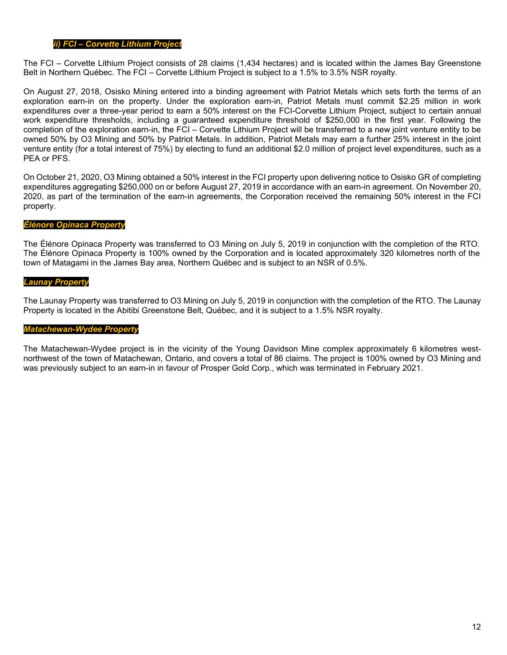## *ii) FCI – Corvette Lithium Project*

The FCI – Corvette Lithium Project consists of 28 claims (1,434 hectares) and is located within the James Bay Greenstone Belt in Northern Québec. The FCI – Corvette Lithium Project is subject to a 1.5% to 3.5% NSR royalty.

On August 27, 2018, Osisko Mining entered into a binding agreement with Patriot Metals which sets forth the terms of an exploration earn-in on the property. Under the exploration earn-in, Patriot Metals must commit \$2.25 million in work expenditures over a three-year period to earn a 50% interest on the FCI-Corvette Lithium Project, subject to certain annual work expenditure thresholds, including a guaranteed expenditure threshold of \$250,000 in the first year. Following the completion of the exploration earn-in, the FCI – Corvette Lithium Project will be transferred to a new joint venture entity to be owned 50% by O3 Mining and 50% by Patriot Metals. In addition, Patriot Metals may earn a further 25% interest in the joint venture entity (for a total interest of 75%) by electing to fund an additional \$2.0 million of project level expenditures, such as a PEA or PFS.

On October 21, 2020, O3 Mining obtained a 50% interest in the FCI property upon delivering notice to Osisko GR of completing expenditures aggregating \$250,000 on or before August 27, 2019 in accordance with an earn-in agreement. On November 20, 2020, as part of the termination of the earn-in agreements, the Corporation received the remaining 50% interest in the FCI property.

### *Élénore Opinaca Property*

The Élénore Opinaca Property was transferred to O3 Mining on July 5, 2019 in conjunction with the completion of the RTO. The Élénore Opinaca Property is 100% owned by the Corporation and is located approximately 320 kilometres north of the town of Matagami in the James Bay area, Northern Québec and is subject to an NSR of 0.5%.

### *Launay Property*

The Launay Property was transferred to O3 Mining on July 5, 2019 in conjunction with the completion of the RTO. The Launay Property is located in the Abitibi Greenstone Belt, Québec, and it is subject to a 1.5% NSR royalty.

### *Matachewan-Wydee Property*

The Matachewan-Wydee project is in the vicinity of the Young Davidson Mine complex approximately 6 kilometres westnorthwest of the town of Matachewan, Ontario, and covers a total of 86 claims. The project is 100% owned by O3 Mining and was previously subject to an earn-in in favour of Prosper Gold Corp., which was terminated in February 2021.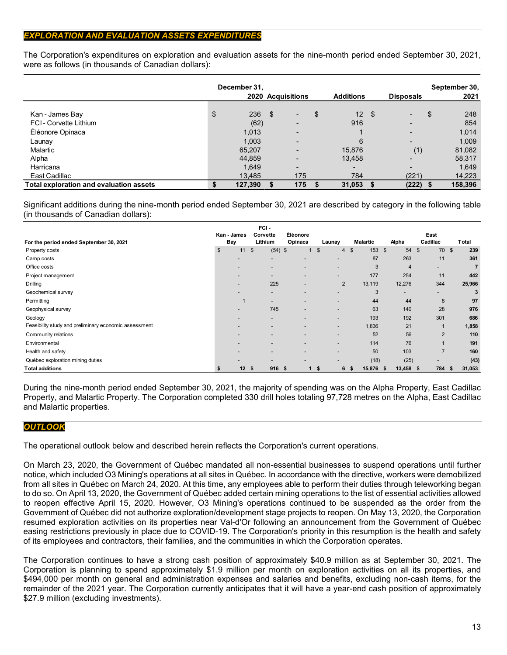# *EXPLORATION AND EVALUATION ASSETS EXPENDITURES*

The Corporation's expenditures on exploration and evaluation assets for the nine-month period ended September 30, 2021, were as follows (in thousands of Canadian dollars):

|                                         | December 31, |      | 2020 Acquisitions        |    | <b>Additions</b>         | <b>Disposals</b>         | September 30,<br>2021 |
|-----------------------------------------|--------------|------|--------------------------|----|--------------------------|--------------------------|-----------------------|
| Kan - James Bay                         | \$<br>236    | - \$ | ۰.                       | \$ | 12 <sup>2</sup>          | \$                       | \$<br>248             |
| FCI-Corvette Lithium                    | (62)         |      | $\overline{\phantom{0}}$ |    | 916                      | $\overline{\phantom{0}}$ | 854                   |
| Éléonore Opinaca                        | 1,013        |      | $\overline{\phantom{0}}$ |    |                          | $\overline{\phantom{a}}$ | 1,014                 |
| Launay                                  | 1,003        |      | $\overline{\phantom{0}}$ |    | 6                        | $\overline{\phantom{0}}$ | 1,009                 |
| Malartic                                | 65,207       |      | $\overline{\phantom{0}}$ |    | 15,876                   | (1)                      | 81,082                |
| Alpha                                   | 44.859       |      | $\overline{\phantom{0}}$ |    | 13,458                   | $\overline{\phantom{0}}$ | 58,317                |
| Harricana                               | 1,649        |      | $\overline{\phantom{0}}$ |    | $\overline{\phantom{0}}$ | -                        | 1.649                 |
| East Cadillac                           | 13,485       |      | 175                      |    | 784                      | (221)                    | 14,223                |
| Total exploration and evaluation assets | 127,390      |      | 175                      | S  | 31,053                   | (222)                    | 158,396               |

Significant additions during the nine-month period ended September 30, 2021 are described by category in the following table (in thousands of Canadian dollars):

|                                                       |                          | FCI-                     |                          |                          |                 |                          |                      |                 |
|-------------------------------------------------------|--------------------------|--------------------------|--------------------------|--------------------------|-----------------|--------------------------|----------------------|-----------------|
| For the period ended September 30, 2021               | Kan - James<br>Bay       | Corvette<br>Lithium      | Éléonore<br>Opinaca      | Launay                   | <b>Malartic</b> | Alpha                    | East<br>Cadillac     | Total           |
| Property costs                                        | $\mathfrak{s}$<br>11     | \$<br>$(54)$ \$          |                          | \$<br>4                  | 153<br>\$       | \$S<br>54                | 70<br>$\mathfrak{L}$ | 239<br><b>S</b> |
| Camp costs                                            | $\overline{\phantom{0}}$ | $\overline{\phantom{0}}$ |                          |                          | 87              | 263                      | 11                   | 361             |
| Office costs                                          |                          | $\overline{\phantom{0}}$ |                          | $\overline{\phantom{0}}$ | 3               | $\overline{4}$           | -                    | 7               |
| Project management                                    |                          | $\overline{\phantom{0}}$ |                          | $\overline{\phantom{0}}$ | 177             | 254                      | 11                   | 442             |
| Drilling                                              | $\overline{\phantom{0}}$ | 225                      | $\overline{\phantom{a}}$ | $\overline{2}$           | 13,119          | 12,276                   | 344                  | 25,966          |
| Geochemical survey                                    |                          | $\overline{\phantom{0}}$ |                          |                          | 3               | $\overline{\phantom{a}}$ |                      | 3               |
| Permitting                                            | $\mathbf 1$              | $\overline{\phantom{0}}$ |                          | $\overline{\phantom{0}}$ | 44              | 44                       | 8                    | 97              |
| Geophysical survey                                    | $\overline{\phantom{0}}$ | 745                      | -                        | $\overline{\phantom{0}}$ | 63              | 140                      | 28                   | 976             |
| Geology                                               |                          | $\overline{\phantom{0}}$ |                          | $\overline{\phantom{0}}$ | 193             | 192                      | 301                  | 686             |
| Feasibility study and preliminary economic assessment |                          | $\overline{\phantom{0}}$ |                          | $\overline{\phantom{0}}$ | 1,836           | 21                       |                      | 1,858           |
| Community relations                                   | $\overline{\phantom{0}}$ | $\overline{\phantom{0}}$ | $\overline{\phantom{a}}$ | $\overline{\phantom{0}}$ | 52              | 56                       | 2                    | 110             |
| Environmental                                         |                          |                          | $\overline{\phantom{0}}$ | $\overline{\phantom{0}}$ | 114             | 76                       |                      | 191             |
| Health and safety                                     |                          |                          |                          | $\overline{\phantom{0}}$ | 50              | 103                      | $\overline{7}$       | 160             |
| Québec exploration mining duties                      | $\overline{\phantom{a}}$ | $\overline{\phantom{a}}$ | $\overline{\phantom{a}}$ |                          | (18)            | (25)                     |                      | (43)            |
| <b>Total additions</b>                                | 12<br>s.                 | 916 \$<br>S.             |                          | \$<br>6                  | 15,876<br>- 5   | 13,458<br>Ŝ.             | 784<br>- \$          | 31,053<br>s     |

During the nine-month period ended September 30, 2021, the majority of spending was on the Alpha Property, East Cadillac Property, and Malartic Property. The Corporation completed 330 drill holes totaling 97,728 metres on the Alpha, East Cadillac and Malartic properties.

# *OUTLOOK*

The operational outlook below and described herein reflects the Corporation's current operations.

On March 23, 2020, the Government of Québec mandated all non-essential businesses to suspend operations until further notice, which included O3 Mining's operations at all sites in Québec. In accordance with the directive, workers were demobilized from all sites in Québec on March 24, 2020. At this time, any employees able to perform their duties through teleworking began to do so. On April 13, 2020, the Government of Québec added certain mining operations to the list of essential activities allowed to reopen effective April 15, 2020. However, O3 Mining's operations continued to be suspended as the order from the Government of Québec did not authorize exploration/development stage projects to reopen. On May 13, 2020, the Corporation resumed exploration activities on its properties near Val-d'Or following an announcement from the Government of Québec easing restrictions previously in place due to COVID-19. The Corporation's priority in this resumption is the health and safety of its employees and contractors, their families, and the communities in which the Corporation operates.

The Corporation continues to have a strong cash position of approximately \$40.9 million as at September 30, 2021. The Corporation is planning to spend approximately \$1.9 million per month on exploration activities on all its properties, and \$494,000 per month on general and administration expenses and salaries and benefits, excluding non-cash items, for the remainder of the 2021 year. The Corporation currently anticipates that it will have a year-end cash position of approximately \$27.9 million (excluding investments).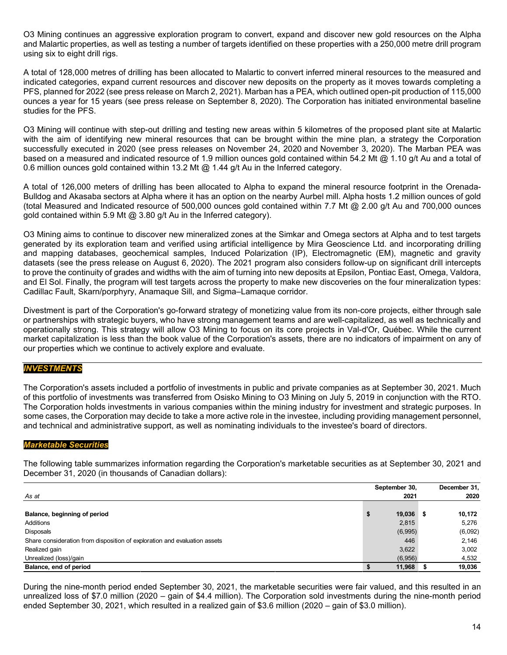O3 Mining continues an aggressive exploration program to convert, expand and discover new gold resources on the Alpha and Malartic properties, as well as testing a number of targets identified on these properties with a 250,000 metre drill program using six to eight drill rigs.

A total of 128,000 metres of drilling has been allocated to Malartic to convert inferred mineral resources to the measured and indicated categories, expand current resources and discover new deposits on the property as it moves towards completing a PFS, planned for 2022 (see press release on March 2, 2021). Marban has a PEA, which outlined open-pit production of 115,000 ounces a year for 15 years (see press release on September 8, 2020). The Corporation has initiated environmental baseline studies for the PFS.

O3 Mining will continue with step-out drilling and testing new areas within 5 kilometres of the proposed plant site at Malartic with the aim of identifying new mineral resources that can be brought within the mine plan, a strategy the Corporation successfully executed in 2020 (see press releases on [November 24, 2020](https://o3mining.com/news/o3-mining-intersects-383-4-g-t-au-over-2-0-metres-including-1510-g-t-au-over-0-5-metres-at-marban-project/) and [November 3, 2020\)](https://o3mining.com/news/o3-mining-intersects-2-9-g-t-au-over-14-2-metres-near-surface-and-145-metres-outside-of-pit-shell-at-marban-project/). The Marban PEA was based on a measured and indicated resource of 1.9 million ounces gold contained within 54.2 Mt @ 1.10 g/t Au and a total of 0.6 million ounces gold contained within 13.2 Mt @ 1.44 g/t Au in the Inferred category.

A total of 126,000 meters of drilling has been allocated to Alpha to expand the mineral resource footprint in the Orenada-Bulldog and Akasaba sectors at Alpha where it has an option on the nearby Aurbel mill. Alpha hosts 1.2 million ounces of gold (total Measured and Indicated resource of 500,000 ounces gold contained within 7.7 Mt @ 2.00 g/t Au and 700,000 ounces gold contained within 5.9 Mt @ 3.80 g/t Au in the Inferred category).

O3 Mining aims to continue to discover new mineralized zones at the Simkar and Omega sectors at Alpha and to test targets generated by its exploration team and verified using artificial intelligence by Mira Geoscience Ltd. and incorporating drilling and mapping databases, geochemical samples, Induced Polarization (IP), Electromagnetic (EM), magnetic and gravity datasets [\(see the press release on August 6, 2020\)](https://o3mining.com/news/o3-mining-identifies-over-25-targets-using-artificial-intelligence-on-alpha-property/). The 2021 program also considers follow-up on significant drill intercepts to prove the continuity of grades and widths with the aim of turning into new deposits at Epsilon, Pontiac East, Omega, Valdora, and El Sol. Finally, the program will test targets across the property to make new discoveries on the four mineralization types: Cadillac Fault, Skarn/porphyry, Anamaque Sill, and Sigma–Lamaque corridor.

Divestment is part of the Corporation's go-forward strategy of monetizing value from its non-core projects, either through sale or partnerships with strategic buyers, who have strong management teams and are well-capitalized, as well as technically and operationally strong. This strategy will allow O3 Mining to focus on its core projects in Val-d'Or, Québec. While the current market capitalization is less than the book value of the Corporation's assets, there are no indicators of impairment on any of our properties which we continue to actively explore and evaluate.

# *INVESTMENTS*

The Corporation's assets included a portfolio of investments in public and private companies as at September 30, 2021. Much of this portfolio of investments was transferred from Osisko Mining to O3 Mining on July 5, 2019 in conjunction with the RTO. The Corporation holds investments in various companies within the mining industry for investment and strategic purposes. In some cases, the Corporation may decide to take a more active role in the investee, including providing management personnel, and technical and administrative support, as well as nominating individuals to the investee's board of directors.

### *Marketable Securities*

The following table summarizes information regarding the Corporation's marketable securities as at September 30, 2021 and December 31, 2020 (in thousands of Canadian dollars):

|                                                                           | September 30, |     | December 31, |
|---------------------------------------------------------------------------|---------------|-----|--------------|
| As at                                                                     | 2021          |     | 2020         |
|                                                                           |               |     |              |
| Balance, beginning of period                                              | \$<br>19,036  | - 5 | 10,172       |
| Additions                                                                 | 2,815         |     | 5,276        |
| <b>Disposals</b>                                                          | (6,995)       |     | (6,092)      |
| Share consideration from disposition of exploration and evaluation assets | 446           |     | 2,146        |
| Realized gain                                                             | 3,622         |     | 3,002        |
| Unrealized (loss)/gain                                                    | (6,956)       |     | 4,532        |
| Balance, end of period                                                    | 11,968        |     | 19,036       |

During the nine-month period ended September 30, 2021, the marketable securities were fair valued, and this resulted in an unrealized loss of \$7.0 million (2020 – gain of \$4.4 million). The Corporation sold investments during the nine-month period ended September 30, 2021, which resulted in a realized gain of \$3.6 million (2020 – gain of \$3.0 million).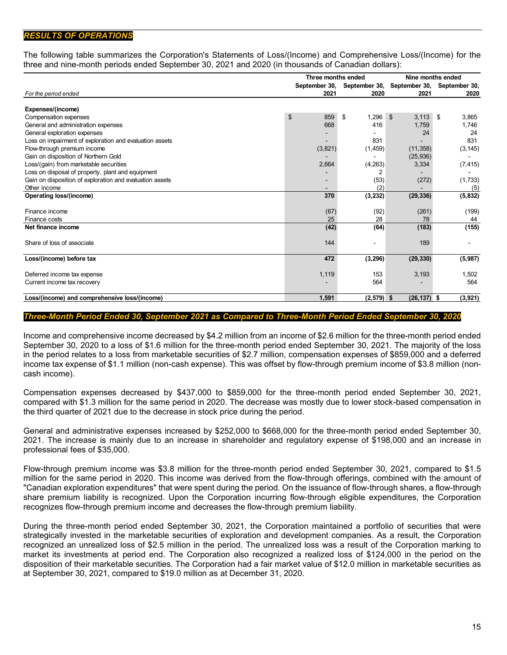## *RESULTS OF OPERATIONS*

The following table summarizes the Corporation's Statements of Loss/(Income) and Comprehensive Loss/(Income) for the three and nine-month periods ended September 30, 2021 and 2020 (in thousands of Canadian dollars):

|                                                          | Three months ended |                             | Nine months ended       |                             |  |  |  |
|----------------------------------------------------------|--------------------|-----------------------------|-------------------------|-----------------------------|--|--|--|
|                                                          |                    | September 30, September 30, |                         | September 30, September 30, |  |  |  |
| For the period ended                                     | 2021               | 2020                        | 2021                    | 2020                        |  |  |  |
|                                                          |                    |                             |                         |                             |  |  |  |
| Expenses/(income)                                        |                    |                             |                         |                             |  |  |  |
| Compensation expenses                                    | \$<br>859          | 1.296<br>\$                 | $\mathfrak{S}$<br>3.113 | - \$<br>3,865               |  |  |  |
| General and administration expenses                      | 668                | 416                         | 1,759                   | 1.746                       |  |  |  |
| General exploration expenses                             |                    |                             | 24                      | 24                          |  |  |  |
| Loss on impairment of exploration and evaluation assets  |                    | 831                         |                         | 831                         |  |  |  |
| Flow-through premium income                              | (3,821)            | (1, 459)                    | (11, 358)               | (3, 145)                    |  |  |  |
| Gain on disposition of Northern Gold                     |                    |                             | (25, 936)               |                             |  |  |  |
| Loss/(gain) from marketable securities                   | 2,664              | (4,263)                     | 3,334                   | (7, 415)                    |  |  |  |
| Loss on disposal of property, plant and equipment        |                    | 2                           |                         |                             |  |  |  |
| Gain on disposition of exploration and evaluation assets |                    | (53)                        | (272)                   | (1,733)                     |  |  |  |
| Other income                                             |                    | (2)                         |                         | (5)                         |  |  |  |
| Operating loss/(income)                                  | 370                | (3, 232)                    | (29, 336)               | (5, 832)                    |  |  |  |
|                                                          |                    |                             |                         |                             |  |  |  |
| Finance income                                           | (67)               | (92)                        | (261)                   | (199)                       |  |  |  |
| Finance costs                                            | 25                 | 28                          | 78                      | 44                          |  |  |  |
| Net finance income                                       | (42)               | (64)                        | (183)                   | (155)                       |  |  |  |
| Share of loss of associate                               | 144                |                             | 189                     |                             |  |  |  |
| Loss/(income) before tax                                 | 472                | (3, 296)                    | (29, 330)               | (5,987)                     |  |  |  |
| Deferred income tax expense                              | 1,119              | 153                         | 3,193                   | 1.502                       |  |  |  |
|                                                          |                    |                             |                         |                             |  |  |  |
| Current income tax recovery                              |                    | 564                         |                         | 564                         |  |  |  |
| Loss/(income) and comprehensive loss/(income)            | 1.591              | (2, 579)                    | $(26, 137)$ \$<br>-96   | (3,921)                     |  |  |  |

### *Three-Month Period Ended 30, September 2021 as Compared to Three-Month Period Ended September 30, 2020*

Income and comprehensive income decreased by \$4.2 million from an income of \$2.6 million for the three-month period ended September 30, 2020 to a loss of \$1.6 million for the three-month period ended September 30, 2021. The majority of the loss in the period relates to a loss from marketable securities of \$2.7 million, compensation expenses of \$859,000 and a deferred income tax expense of \$1.1 million (non-cash expense). This was offset by flow-through premium income of \$3.8 million (noncash income).

Compensation expenses decreased by \$437,000 to \$859,000 for the three-month period ended September 30, 2021, compared with \$1.3 million for the same period in 2020. The decrease was mostly due to lower stock-based compensation in the third quarter of 2021 due to the decrease in stock price during the period.

General and administrative expenses increased by \$252,000 to \$668,000 for the three-month period ended September 30, 2021. The increase is mainly due to an increase in shareholder and regulatory expense of \$198,000 and an increase in professional fees of \$35,000.

Flow-through premium income was \$3.8 million for the three-month period ended September 30, 2021, compared to \$1.5 million for the same period in 2020. This income was derived from the flow-through offerings, combined with the amount of "Canadian exploration expenditures" that were spent during the period. On the issuance of flow-through shares, a flow-through share premium liability is recognized. Upon the Corporation incurring flow-through eligible expenditures, the Corporation recognizes flow-through premium income and decreases the flow-through premium liability.

During the three-month period ended September 30, 2021, the Corporation maintained a portfolio of securities that were strategically invested in the marketable securities of exploration and development companies. As a result, the Corporation recognized an unrealized loss of \$2.5 million in the period. The unrealized loss was a result of the Corporation marking to market its investments at period end. The Corporation also recognized a realized loss of \$124,000 in the period on the disposition of their marketable securities. The Corporation had a fair market value of \$12.0 million in marketable securities as at September 30, 2021, compared to \$19.0 million as at December 31, 2020.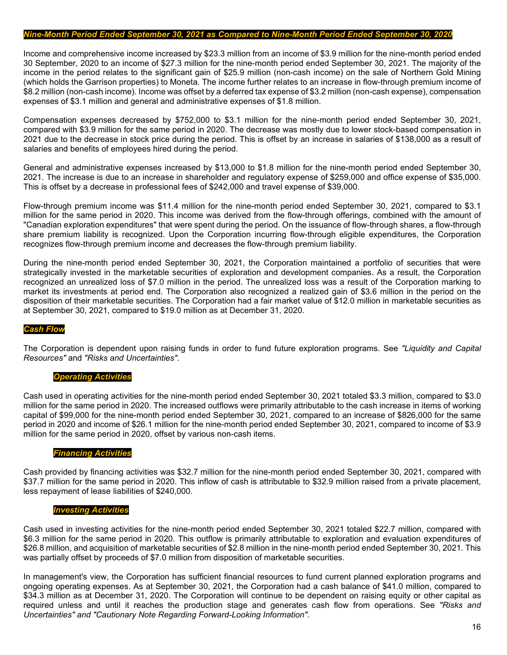#### *Nine-Month Period Ended September 30, 2021 as Compared to Nine-Month Period Ended September 30, 2020*

Income and comprehensive income increased by \$23.3 million from an income of \$3.9 million for the nine-month period ended 30 September, 2020 to an income of \$27.3 million for the nine-month period ended September 30, 2021. The majority of the income in the period relates to the significant gain of \$25.9 million (non-cash income) on the sale of Northern Gold Mining (which holds the Garrison properties) to Moneta. The income further relates to an increase in flow-through premium income of \$8.2 million (non-cash income). Income was offset by a deferred tax expense of \$3.2 million (non-cash expense), compensation expenses of \$3.1 million and general and administrative expenses of \$1.8 million.

Compensation expenses decreased by \$752,000 to \$3.1 million for the nine-month period ended September 30, 2021, compared with \$3.9 million for the same period in 2020. The decrease was mostly due to lower stock-based compensation in 2021 due to the decrease in stock price during the period. This is offset by an increase in salaries of \$138,000 as a result of salaries and benefits of employees hired during the period.

General and administrative expenses increased by \$13,000 to \$1.8 million for the nine-month period ended September 30, 2021. The increase is due to an increase in shareholder and regulatory expense of \$259,000 and office expense of \$35,000. This is offset by a decrease in professional fees of \$242,000 and travel expense of \$39,000.

Flow-through premium income was \$11.4 million for the nine-month period ended September 30, 2021, compared to \$3.1 million for the same period in 2020. This income was derived from the flow-through offerings, combined with the amount of "Canadian exploration expenditures" that were spent during the period. On the issuance of flow-through shares, a flow-through share premium liability is recognized. Upon the Corporation incurring flow-through eligible expenditures, the Corporation recognizes flow-through premium income and decreases the flow-through premium liability.

During the nine-month period ended September 30, 2021, the Corporation maintained a portfolio of securities that were strategically invested in the marketable securities of exploration and development companies. As a result, the Corporation recognized an unrealized loss of \$7.0 million in the period. The unrealized loss was a result of the Corporation marking to market its investments at period end. The Corporation also recognized a realized gain of \$3.6 million in the period on the disposition of their marketable securities. The Corporation had a fair market value of \$12.0 million in marketable securities as at September 30, 2021, compared to \$19.0 million as at December 31, 2020.

#### *Cash Flow*

The Corporation is dependent upon raising funds in order to fund future exploration programs. See *"Liquidity and Capital Resources"* and *"Risks and Uncertainties"*.

#### *Operating Activities*

Cash used in operating activities for the nine-month period ended September 30, 2021 totaled \$3.3 million, compared to \$3.0 million for the same period in 2020. The increased outflows were primarily attributable to the cash increase in items of working capital of \$99,000 for the nine-month period ended September 30, 2021, compared to an increase of \$826,000 for the same period in 2020 and income of \$26.1 million for the nine-month period ended September 30, 2021, compared to income of \$3.9 million for the same period in 2020, offset by various non-cash items.

#### *Financing Activities*

Cash provided by financing activities was \$32.7 million for the nine-month period ended September 30, 2021, compared with \$37.7 million for the same period in 2020. This inflow of cash is attributable to \$32.9 million raised from a private placement, less repayment of lease liabilities of \$240,000.

#### *Investing Activities*

Cash used in investing activities for the nine-month period ended September 30, 2021 totaled \$22.7 million, compared with \$6.3 million for the same period in 2020. This outflow is primarily attributable to exploration and evaluation expenditures of \$26.8 million, and acquisition of marketable securities of \$2.8 million in the nine-month period ended September 30, 2021. This was partially offset by proceeds of \$7.0 million from disposition of marketable securities.

In management's view, the Corporation has sufficient financial resources to fund current planned exploration programs and ongoing operating expenses. As at September 30, 2021, the Corporation had a cash balance of \$41.0 million, compared to \$34.3 million as at December 31, 2020. The Corporation will continue to be dependent on raising equity or other capital as required unless and until it reaches the production stage and generates cash flow from operations. See *"Risks and Uncertainties" and "Cautionary Note Regarding Forward-Looking Information"*.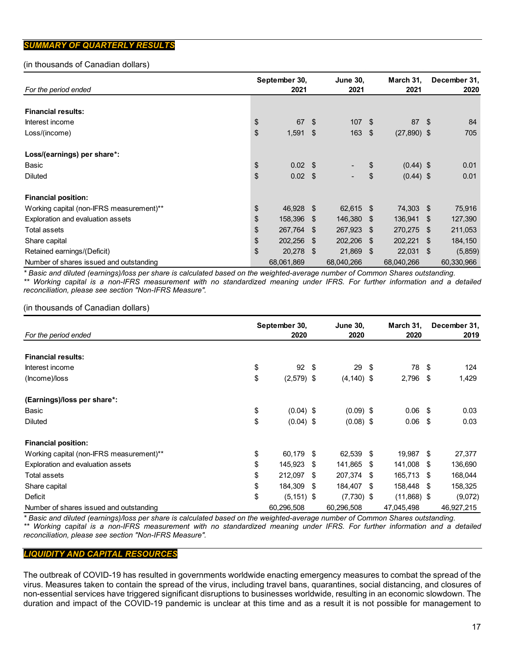# *SUMMARY OF QUARTERLY RESULTS*

## (in thousands of Canadian dollars)

| For the period ended                     |    | September 30,<br>2021 | 2021 | <b>June 30,</b> |      | December 31,<br>March 31,<br>2021 |      |            |
|------------------------------------------|----|-----------------------|------|-----------------|------|-----------------------------------|------|------------|
|                                          |    |                       |      |                 |      |                                   |      |            |
| <b>Financial results:</b>                |    |                       |      |                 |      |                                   |      |            |
| Interest income                          | \$ | 67                    | \$   | 107S            |      | 87 \$                             |      | 84         |
| Loss/(income)                            | \$ | 1,591                 | \$   | 163             | - \$ | $(27,890)$ \$                     |      | 705        |
| Loss/(earnings) per share*:              |    |                       |      |                 |      |                                   |      |            |
| Basic                                    | \$ | $0.02 \quad$ \$       |      |                 | \$   | $(0.44)$ \$                       |      | 0.01       |
| <b>Diluted</b>                           | \$ | $0.02 \quad $$        |      |                 | \$   | $(0.44)$ \$                       |      | 0.01       |
| <b>Financial position:</b>               |    |                       |      |                 |      |                                   |      |            |
| Working capital (non-IFRS measurement)** | \$ | 46,928 \$             |      | 62,615 \$       |      | 74,303 \$                         |      | 75,916     |
| Exploration and evaluation assets        | \$ | 158,396               | -\$  | 146,380 \$      |      | 136,941 \$                        |      | 127,390    |
| Total assets                             | \$ | 267,764               | \$.  | 267,923 \$      |      | 270,275 \$                        |      | 211,053    |
| Share capital                            | \$ | 202,256               | \$.  | 202,206 \$      |      | 202,221                           | - \$ | 184,150    |
| Retained earnings/(Deficit)              | \$ | 20,278                | -\$  | 21,869 \$       |      | $22,031$ \$                       |      | (5,859)    |
| Number of shares issued and outstanding  |    | 68,061,869            |      | 68,040,266      |      | 68,040,266                        |      | 60,330,966 |

*\* Basic and diluted (earnings)/loss per share is calculated based on the weighted-average number of Common Shares outstanding. \*\* Working capital is a non-IFRS measurement with no standardized meaning under IFRS. For further information and a detailed reconciliation, please see section "Non-IFRS Measure".*

### (in thousands of Canadian dollars)

|                                          | September 30, |               |      | <b>June 30,</b> |      | March 31,     |      | December 31, |  |
|------------------------------------------|---------------|---------------|------|-----------------|------|---------------|------|--------------|--|
| For the period ended                     |               | 2020          |      | 2020            |      | 2020          |      | 2019         |  |
| <b>Financial results:</b>                |               |               |      |                 |      |               |      |              |  |
| Interest income                          | \$            | 92            | - \$ | 29              | - \$ | 78            | -\$  | 124          |  |
| (Income)/loss                            | \$            | $(2,579)$ \$  |      | $(4, 140)$ \$   |      | $2,796$ \$    |      | 1,429        |  |
| (Earnings)/loss per share*:              |               |               |      |                 |      |               |      |              |  |
| Basic                                    | \$            | $(0.04)$ \$   |      | $(0.09)$ \$     |      | $0.06$ \$     |      | 0.03         |  |
| <b>Diluted</b>                           | \$            | $(0.04)$ \$   |      | $(0.08)$ \$     |      | $0.06$ \$     |      | 0.03         |  |
| <b>Financial position:</b>               |               |               |      |                 |      |               |      |              |  |
| Working capital (non-IFRS measurement)** | \$            | 60,179        | - \$ | 62,539 \$       |      | 19,987 \$     |      | 27,377       |  |
| Exploration and evaluation assets        | \$            | 145,923       | -S   | 141,865 \$      |      | 141,008       | -\$  | 136,690      |  |
| <b>Total assets</b>                      | \$            | 212,097       | S    | 207,374         | -\$  | 165,713       | - \$ | 168,044      |  |
| Share capital                            | \$            | 184,309       | -S   | 184,407         | \$   | 158,448       | - \$ | 158,325      |  |
| Deficit                                  | \$            | $(5, 151)$ \$ |      | $(7,730)$ \$    |      | $(11,868)$ \$ |      | (9,072)      |  |
| Number of shares issued and outstanding  |               | 60,296,508    |      | 60,296,508      |      | 47,045,498    |      | 46,927,215   |  |

*\* Basic and diluted (earnings)/loss per share is calculated based on the weighted-average number of Common Shares outstanding. \*\* Working capital is a non-IFRS measurement with no standardized meaning under IFRS. For further information and a detailed reconciliation, please see section "Non-IFRS Measure".*

## *LIQUIDITY AND CAPITAL RESOURCES*

The outbreak of COVID-19 has resulted in governments worldwide enacting emergency measures to combat the spread of the virus. Measures taken to contain the spread of the virus, including travel bans, quarantines, social distancing, and closures of non-essential services have triggered significant disruptions to businesses worldwide, resulting in an economic slowdown. The duration and impact of the COVID-19 pandemic is unclear at this time and as a result it is not possible for management to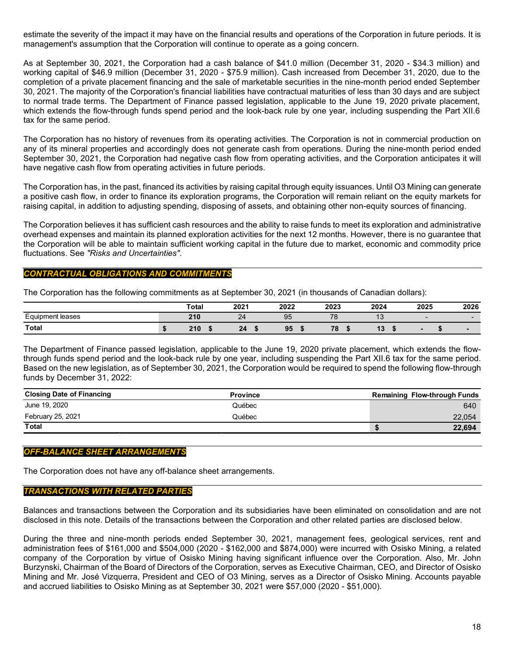estimate the severity of the impact it may have on the financial results and operations of the Corporation in future periods. It is management's assumption that the Corporation will continue to operate as a going concern.

As at September 30, 2021, the Corporation had a cash balance of \$41.0 million (December 31, 2020 - \$34.3 million) and working capital of \$46.9 million (December 31, 2020 - \$75.9 million). Cash increased from December 31, 2020, due to the completion of a private placement financing and the sale of marketable securities in the nine-month period ended September 30, 2021. The majority of the Corporation's financial liabilities have contractual maturities of less than 30 days and are subject to normal trade terms. The Department of Finance passed legislation, applicable to the June 19, 2020 private placement, which extends the flow-through funds spend period and the look-back rule by one year, including suspending the Part XII.6 tax for the same period.

The Corporation has no history of revenues from its operating activities. The Corporation is not in commercial production on any of its mineral properties and accordingly does not generate cash from operations. During the nine-month period ended September 30, 2021, the Corporation had negative cash flow from operating activities, and the Corporation anticipates it will have negative cash flow from operating activities in future periods.

The Corporation has, in the past, financed its activities by raising capital through equity issuances. Until O3 Mining can generate a positive cash flow, in order to finance its exploration programs, the Corporation will remain reliant on the equity markets for raising capital, in addition to adjusting spending, disposing of assets, and obtaining other non-equity sources of financing.

The Corporation believes it has sufficient cash resources and the ability to raise funds to meet its exploration and administrative overhead expenses and maintain its planned exploration activities for the next 12 months. However, there is no guarantee that the Corporation will be able to maintain sufficient working capital in the future due to market, economic and commodity price fluctuations. See *"Risks and Uncertainties"*.

## *CONTRACTUAL OBLIGATIONS AND COMMITMENTS*

The Corporation has the following commitments as at September 30, 2021 (in thousands of Canadian dollars):

|                                              | Total | 2021 | 2022 | 2023      | 2024                  | 2025 | 2026                     |
|----------------------------------------------|-------|------|------|-----------|-----------------------|------|--------------------------|
| $\overline{\phantom{0}}$<br>Equipment leases | 210   | 24   | 95   | 70<br>1 O | $\overline{a}$<br>ں ا |      | -                        |
| Total                                        | າ40   | 24   | 95   | 70        | $\overline{10}$<br>19 |      | $\overline{\phantom{0}}$ |

The Department of Finance passed legislation, applicable to the June 19, 2020 private placement, which extends the flowthrough funds spend period and the look-back rule by one year, including suspending the Part XII.6 tax for the same period. Based on the new legislation, as of September 30, 2021, the Corporation would be required to spend the following flow-through funds by December 31, 2022:

| <b>Closing Date of Financing</b> | <b>Province</b> | <b>Remaining Flow-through Funds</b> |
|----------------------------------|-----------------|-------------------------------------|
| June 19, 2020                    | Québec          | 640                                 |
| February 25, 2021                | Québec          | 22,054                              |
| <b>Total</b>                     |                 | 22,694                              |

### *OFF-BALANCE SHEET ARRANGEMENTS*

The Corporation does not have any off-balance sheet arrangements.

### *TRANSACTIONS WITH RELATED PARTIES*

Balances and transactions between the Corporation and its subsidiaries have been eliminated on consolidation and are not disclosed in this note. Details of the transactions between the Corporation and other related parties are disclosed below.

During the three and nine-month periods ended September 30, 2021, management fees, geological services, rent and administration fees of \$161,000 and \$504,000 (2020 - \$162,000 and \$874,000) were incurred with Osisko Mining, a related company of the Corporation by virtue of Osisko Mining having significant influence over the Corporation. Also, Mr. John Burzynski, Chairman of the Board of Directors of the Corporation, serves as Executive Chairman, CEO, and Director of Osisko Mining and Mr. José Vizquerra, President and CEO of O3 Mining, serves as a Director of Osisko Mining. Accounts payable and accrued liabilities to Osisko Mining as at September 30, 2021 were \$57,000 (2020 - \$51,000).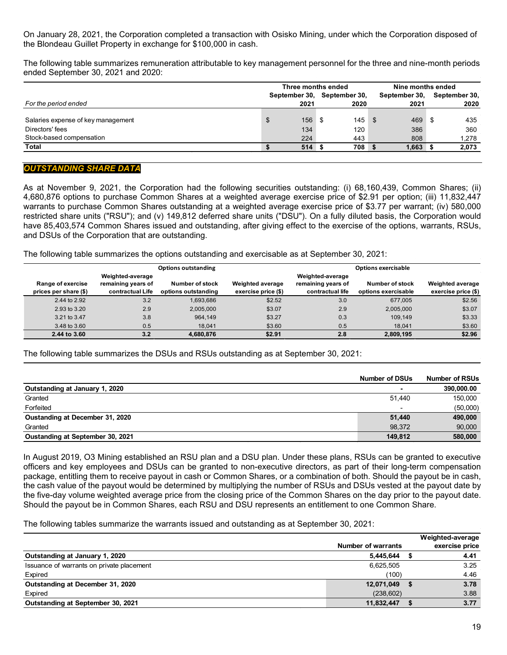On January 28, 2021, the Corporation completed a transaction with Osisko Mining, under which the Corporation disposed of the Blondeau Guillet Property in exchange for \$100,000 in cash.

The following table summarizes remuneration attributable to key management personnel for the three and nine-month periods ended September 30, 2021 and 2020:

|                                    | Three months ended |               |               |      | Nine months ended |               |  |  |
|------------------------------------|--------------------|---------------|---------------|------|-------------------|---------------|--|--|
|                                    |                    | September 30, | September 30, |      | September 30,     | September 30, |  |  |
| For the period ended               |                    | 2021          | 2020          |      | 2021              | 2020          |  |  |
|                                    |                    |               |               |      |                   |               |  |  |
| Salaries expense of key management | \$                 | 156           | 145<br>- \$   | - \$ | 469               | 435<br>- \$   |  |  |
| Directors' fees                    |                    | 134           | 120           |      | 386               | 360           |  |  |
| Stock-based compensation           |                    | 224           | 443           |      | 808               | 1,278         |  |  |
| Total                              |                    | 514           | 708           |      | 1,663             | 2,073         |  |  |

## *OUTSTANDING SHARE DATA*

As at November 9, 2021, the Corporation had the following securities outstanding: (i) 68,160,439, Common Shares; (ii) 4,680,876 options to purchase Common Shares at a weighted average exercise price of \$2.91 per option; (iii) 11,832,447 warrants to purchase Common Shares outstanding at a weighted average exercise price of \$3.77 per warrant; (iv) 580,000 restricted share units ("RSU"); and (v) 149,812 deferred share units ("DSU"). On a fully diluted basis, the Corporation would have 85,403,574 Common Shares issued and outstanding, after giving effect to the exercise of the options, warrants, RSUs, and DSUs of the Corporation that are outstanding.

The following table summarizes the options outstanding and exercisable as at September 30, 2021:

| <b>Options outstanding</b>                 |                                                            |                                               |                                                | <b>Options exercisable</b>                                 |                                        |                                                |  |  |  |
|--------------------------------------------|------------------------------------------------------------|-----------------------------------------------|------------------------------------------------|------------------------------------------------------------|----------------------------------------|------------------------------------------------|--|--|--|
| Range of exercise<br>prices per share (\$) | Weighted-average<br>remaining years of<br>contractual Life | <b>Number of stock</b><br>options outstanding | <b>Weighted average</b><br>exercise price (\$) | Weighted-average<br>remaining years of<br>contractual life | Number of stock<br>options exercisable | <b>Weighted average</b><br>exercise price (\$) |  |  |  |
| 2.44 to 2.92                               | 3.2                                                        | 1.693.686                                     | \$2.52                                         | 3.0                                                        | 677.005                                | \$2.56                                         |  |  |  |
| 2.93 to 3.20                               | 2.9                                                        | 2,005,000                                     | \$3.07                                         | 2.9                                                        | 2,005,000                              | \$3.07                                         |  |  |  |
| 3.21 to 3.47                               | 3.8                                                        | 964.149                                       | \$3.27                                         | 0.3                                                        | 109.149                                | \$3.33                                         |  |  |  |
| 3.48 to 3.60                               | 0.5                                                        | 18.041                                        | \$3.60                                         | 0.5                                                        | 18.041                                 | \$3.60                                         |  |  |  |
| 2.44 to 3.60                               | 3.2                                                        | 4,680,876                                     | \$2.91                                         | 2.8                                                        | 2,809,195                              | \$2.96                                         |  |  |  |

The following table summarizes the DSUs and RSUs outstanding as at September 30, 2021:

|                                  | <b>Number of DSUs</b> | <b>Number of RSUs</b> |
|----------------------------------|-----------------------|-----------------------|
| Outstanding at January 1, 2020   |                       | 390,000.00            |
| Granted                          | 51.440                | 150,000               |
| Forfeited                        |                       | (50,000)              |
| Oustanding at December 31, 2020  | 51,440                | 490,000               |
| Granted                          | 98.372                | 90,000                |
| Oustanding at September 30, 2021 | 149.812               | 580,000               |

In August 2019, O3 Mining established an RSU plan and a DSU plan. Under these plans, RSUs can be granted to executive officers and key employees and DSUs can be granted to non-executive directors, as part of their long-term compensation package, entitling them to receive payout in cash or Common Shares, or a combination of both. Should the payout be in cash, the cash value of the payout would be determined by multiplying the number of RSUs and DSUs vested at the payout date by the five-day volume weighted average price from the closing price of the Common Shares on the day prior to the payout date. Should the payout be in Common Shares, each RSU and DSU represents an entitlement to one Common Share.

The following tables summarize the warrants issued and outstanding as at September 30, 2021:

|                                           |                           | Weighted-average |
|-------------------------------------------|---------------------------|------------------|
|                                           | <b>Number of warrants</b> | exercise price   |
| Outstanding at January 1, 2020            | 5,445,644                 | 4.41             |
| Issuance of warrants on private placement | 6,625,505                 | 3.25             |
| Expired                                   | (100)                     | 4.46             |
| Outstanding at December 31, 2020          | 12,071,049                | 3.78             |
| Expired                                   | (238, 602)                | 3.88             |
| Outstanding at September 30, 2021         | 11,832,447                | 3.77             |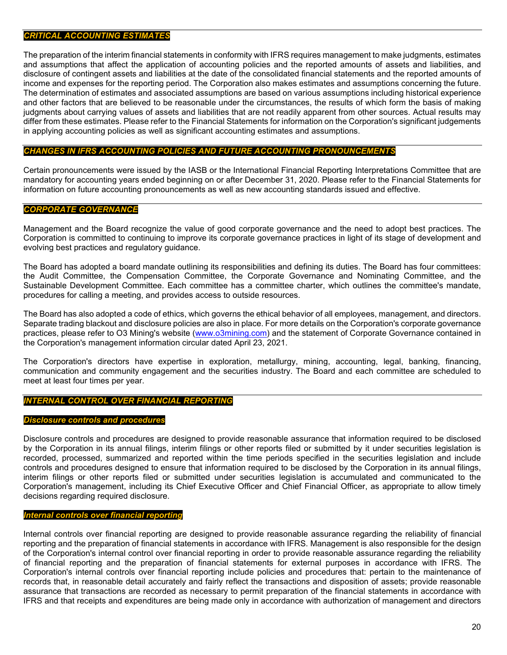### *CRITICAL ACCOUNTING ESTIMATES*

The preparation of the interim financial statements in conformity with IFRS requires management to make judgments, estimates and assumptions that affect the application of accounting policies and the reported amounts of assets and liabilities, and disclosure of contingent assets and liabilities at the date of the consolidated financial statements and the reported amounts of income and expenses for the reporting period. The Corporation also makes estimates and assumptions concerning the future. The determination of estimates and associated assumptions are based on various assumptions including historical experience and other factors that are believed to be reasonable under the circumstances, the results of which form the basis of making judgments about carrying values of assets and liabilities that are not readily apparent from other sources. Actual results may differ from these estimates. Please refer to the Financial Statements for information on the Corporation's significant judgements in applying accounting policies as well as significant accounting estimates and assumptions.

### *CHANGES IN IFRS ACCOUNTING POLICIES AND FUTURE ACCOUNTING PRONOUNCEMENTS*

Certain pronouncements were issued by the IASB or the International Financial Reporting Interpretations Committee that are mandatory for accounting years ended beginning on or after December 31, 2020. Please refer to the Financial Statements for information on future accounting pronouncements as well as new accounting standards issued and effective.

# *CORPORATE GOVERNANCE*

Management and the Board recognize the value of good corporate governance and the need to adopt best practices. The Corporation is committed to continuing to improve its corporate governance practices in light of its stage of development and evolving best practices and regulatory guidance.

The Board has adopted a board mandate outlining its responsibilities and defining its duties. The Board has four committees: the Audit Committee, the Compensation Committee, the Corporate Governance and Nominating Committee, and the Sustainable Development Committee. Each committee has a committee charter, which outlines the committee's mandate, procedures for calling a meeting, and provides access to outside resources.

The Board has also adopted a code of ethics, which governs the ethical behavior of all employees, management, and directors. Separate trading blackout and disclosure policies are also in place. For more details on the Corporation's corporate governance practices, please refer to O3 Mining's website [\(www.o3mining.com\)](http://www.o3mining.com/) and the statement of Corporate Governance contained in the Corporation's management information circular dated April 23, 2021.

The Corporation's directors have expertise in exploration, metallurgy, mining, accounting, legal, banking, financing, communication and community engagement and the securities industry. The Board and each committee are scheduled to meet at least four times per year.

# *INTERNAL CONTROL OVER FINANCIAL REPORTING*

#### *Disclosure controls and procedures*

Disclosure controls and procedures are designed to provide reasonable assurance that information required to be disclosed by the Corporation in its annual filings, interim filings or other reports filed or submitted by it under securities legislation is recorded, processed, summarized and reported within the time periods specified in the securities legislation and include controls and procedures designed to ensure that information required to be disclosed by the Corporation in its annual filings, interim filings or other reports filed or submitted under securities legislation is accumulated and communicated to the Corporation's management, including its Chief Executive Officer and Chief Financial Officer, as appropriate to allow timely decisions regarding required disclosure.

# *Internal controls over financial reporting*

Internal controls over financial reporting are designed to provide reasonable assurance regarding the reliability of financial reporting and the preparation of financial statements in accordance with IFRS. Management is also responsible for the design of the Corporation's internal control over financial reporting in order to provide reasonable assurance regarding the reliability of financial reporting and the preparation of financial statements for external purposes in accordance with IFRS. The Corporation's internal controls over financial reporting include policies and procedures that: pertain to the maintenance of records that, in reasonable detail accurately and fairly reflect the transactions and disposition of assets; provide reasonable assurance that transactions are recorded as necessary to permit preparation of the financial statements in accordance with IFRS and that receipts and expenditures are being made only in accordance with authorization of management and directors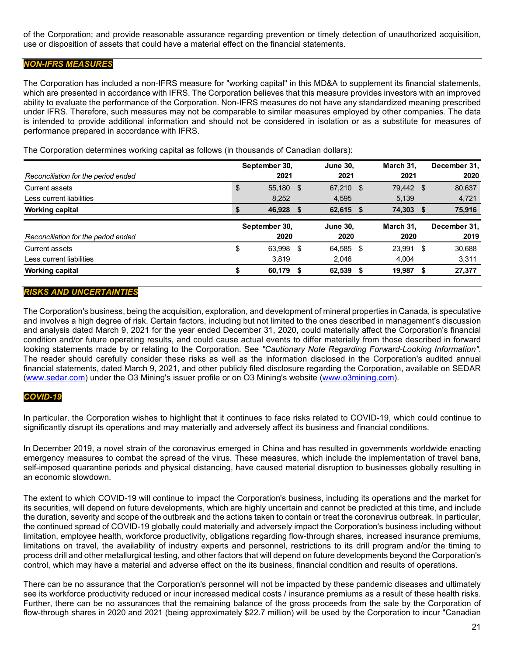of the Corporation; and provide reasonable assurance regarding prevention or timely detection of unauthorized acquisition, use or disposition of assets that could have a material effect on the financial statements.

## *NON-IFRS MEASURES*

The Corporation has included a non-IFRS measure for "working capital" in this MD&A to supplement its financial statements, which are presented in accordance with IFRS. The Corporation believes that this measure provides investors with an improved ability to evaluate the performance of the Corporation. Non-IFRS measures do not have any standardized meaning prescribed under IFRS. Therefore, such measures may not be comparable to similar measures employed by other companies. The data is intended to provide additional information and should not be considered in isolation or as a substitute for measures of performance prepared in accordance with IFRS.

The Corporation determines working capital as follows (in thousands of Canadian dollars):

|                                     | September 30,<br>2021 |               |    | <b>June 30,</b> |      | March 31.<br>2021 |    | December 31, |  |
|-------------------------------------|-----------------------|---------------|----|-----------------|------|-------------------|----|--------------|--|
| Reconciliation for the period ended |                       |               |    | 2021            |      |                   |    | 2020         |  |
| Current assets                      | \$                    | 55,180 \$     |    | 67,210 \$       |      | 79,442 \$         |    | 80,637       |  |
| Less current liabilities            |                       | 8.252         |    | 4,595           |      | 5,139             |    | 4,721        |  |
| <b>Working capital</b>              | \$                    | 46.928        | -5 | 62.615 \$       |      | 74.303            | S  | 75,916       |  |
|                                     |                       | September 30, |    | <b>June 30.</b> |      | March 31.         |    | December 31, |  |
| Reconciliation for the period ended |                       | 2020          |    | 2020            |      | 2020              |    | 2019         |  |
| Current assets                      | \$                    | 63,998 \$     |    | 64,585          | - \$ | 23.991            | \$ | 30,688       |  |
| Less current liabilities            |                       | 3,819         |    | 2,046           |      | 4.004             |    | 3,311        |  |
| <b>Working capital</b>              |                       | 60,179        |    | 62,539          |      | 19,987            | S  | 27,377       |  |

# *RISKS AND UNCERTAINTIES*

The Corporation's business, being the acquisition, exploration, and development of mineral properties in Canada, is speculative and involves a high degree of risk. Certain factors, including but not limited to the ones described in management's discussion and analysis dated March 9, 2021 for the year ended December 31, 2020, could materially affect the Corporation's financial condition and/or future operating results, and could cause actual events to differ materially from those described in forward looking statements made by or relating to the Corporation. See *"Cautionary Note Regarding Forward-Looking Information"*. The reader should carefully consider these risks as well as the information disclosed in the Corporation's audited annual financial statements, dated March 9, 2021, and other publicly filed disclosure regarding the Corporation, available on SEDAR [\(www.sedar.com\)](http://www.sedar.com/) under the O3 Mining's issuer profile or on O3 Mining's website [\(www.o3mining.com\)](http://www.o3mining.com/).

### *COVID-19*

In particular, the Corporation wishes to highlight that it continues to face risks related to COVID-19, which could continue to significantly disrupt its operations and may materially and adversely affect its business and financial conditions.

In December 2019, a novel strain of the coronavirus emerged in China and has resulted in governments worldwide enacting emergency measures to combat the spread of the virus. These measures, which include the implementation of travel bans, self-imposed quarantine periods and physical distancing, have caused material disruption to businesses globally resulting in an economic slowdown.

The extent to which COVID-19 will continue to impact the Corporation's business, including its operations and the market for its securities, will depend on future developments, which are highly uncertain and cannot be predicted at this time, and include the duration, severity and scope of the outbreak and the actions taken to contain or treat the coronavirus outbreak. In particular, the continued spread of COVID-19 globally could materially and adversely impact the Corporation's business including without limitation, employee health, workforce productivity, obligations regarding flow-through shares, increased insurance premiums, limitations on travel, the availability of industry experts and personnel, restrictions to its drill program and/or the timing to process drill and other metallurgical testing, and other factors that will depend on future developments beyond the Corporation's control, which may have a material and adverse effect on the its business, financial condition and results of operations.

There can be no assurance that the Corporation's personnel will not be impacted by these pandemic diseases and ultimately see its workforce productivity reduced or incur increased medical costs / insurance premiums as a result of these health risks. Further, there can be no assurances that the remaining balance of the gross proceeds from the sale by the Corporation of flow-through shares in 2020 and 2021 (being approximately \$22.7 million) will be used by the Corporation to incur "Canadian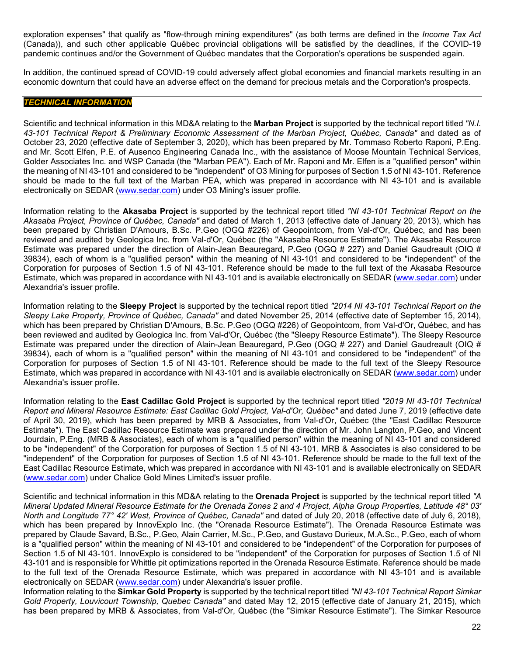exploration expenses" that qualify as "flow-through mining expenditures" (as both terms are defined in the *Income Tax Act* (Canada)), and such other applicable Québec provincial obligations will be satisfied by the deadlines, if the COVID-19 pandemic continues and/or the Government of Québec mandates that the Corporation's operations be suspended again.

In addition, the continued spread of COVID-19 could adversely affect global economies and financial markets resulting in an economic downturn that could have an adverse effect on the demand for precious metals and the Corporation's prospects.

## *TECHNICAL INFORMATION*

Scientific and technical information in this MD&A relating to the **Marban Project** is supported by the technical report titled *"N.I. 43-101 Technical Report & Preliminary Economic Assessment of the Marban Project, Québec, Canada"* and dated as of October 23, 2020 (effective date of September 3, 2020), which has been prepared by Mr. Tommaso Roberto Raponi, P.Eng. and Mr. Scott Elfen, P.E. of Ausenco Engineering Canada Inc., with the assistance of Moose Mountain Technical Services, Golder Associates Inc. and WSP Canada (the "Marban PEA"). Each of Mr. Raponi and Mr. Elfen is a "qualified person" within the meaning of NI 43-101 and considered to be "independent" of O3 Mining for purposes of Section 1.5 of NI 43-101. Reference should be made to the full text of the Marban PEA, which was prepared in accordance with NI 43-101 and is available electronically on SEDAR [\(www.sedar.com\)](http://www.sedar.com/) under O3 Mining's issuer profile.

Information relating to the **Akasaba Project** is supported by the technical report titled *"NI 43-101 Technical Report on the Akasaba Project, Province of Québec, Canada"* and dated of March 1, 2013 (effective date of January 20, 2013), which has been prepared by Christian D'Amours, B.Sc. P.Geo (OGQ #226) of Geopointcom, from Val-d'Or, Québec, and has been reviewed and audited by Geologica Inc. from Val-d'Or, Québec (the "Akasaba Resource Estimate"). The Akasaba Resource Estimate was prepared under the direction of Alain-Jean Beauregard, P.Geo (OGQ # 227) and Daniel Gaudreault (OIQ # 39834), each of whom is a "qualified person" within the meaning of NI 43-101 and considered to be "independent" of the Corporation for purposes of Section 1.5 of NI 43-101. Reference should be made to the full text of the Akasaba Resource Estimate, which was prepared in accordance with NI 43-101 and is available electronically on SEDAR [\(www.sedar.com\)](http://www.sedar.com/) under Alexandria's issuer profile.

Information relating to the **Sleepy Project** is supported by the technical report titled *"2014 NI 43-101 Technical Report on the Sleepy Lake Property, Province of Québec, Canada"* and dated November 25, 2014 (effective date of September 15, 2014), which has been prepared by Christian D'Amours, B.Sc. P.Geo (OGQ #226) of Geopointcom, from Val-d'Or, Québec, and has been reviewed and audited by Geologica Inc. from Val-d'Or, Québec (the "Sleepy Resource Estimate"). The Sleepy Resource Estimate was prepared under the direction of Alain-Jean Beauregard, P.Geo (OGQ # 227) and Daniel Gaudreault (OIQ # 39834), each of whom is a "qualified person" within the meaning of NI 43-101 and considered to be "independent" of the Corporation for purposes of Section 1.5 of NI 43-101. Reference should be made to the full text of the Sleepy Resource Estimate, which was prepared in accordance with NI 43-101 and is available electronically on SEDAR [\(www.sedar.com\)](http://www.sedar.com/) under Alexandria's issuer profile.

Information relating to the **East Cadillac Gold Project** is supported by the technical report titled *"2019 NI 43-101 Technical Report and Mineral Resource Estimate: East Cadillac Gold Project, Val-d'Or, Québec"* and dated June 7, 2019 (effective date of April 30, 2019), which has been prepared by MRB & Associates, from Val-d'Or, Québec (the "East Cadillac Resource Estimate"). The East Cadillac Resource Estimate was prepared under the direction of Mr. John Langton, P.Geo, and Vincent Jourdain, P.Eng. (MRB & Associates), each of whom is a "qualified person" within the meaning of NI 43-101 and considered to be "independent" of the Corporation for purposes of Section 1.5 of NI 43-101. MRB & Associates is also considered to be "independent" of the Corporation for purposes of Section 1.5 of NI 43-101. Reference should be made to the full text of the East Cadillac Resource Estimate, which was prepared in accordance with NI 43-101 and is available electronically on SEDAR [\(www.sedar.com\)](http://www.sedar.com/) under Chalice Gold Mines Limited's issuer profile.

Scientific and technical information in this MD&A relating to the **Orenada Project** is supported by the technical report titled *"A Mineral Updated Mineral Resource Estimate for the Orenada Zones 2 and 4 Project, Alpha Group Properties, Latitude 48° 03' North and Longitude 77° 42' West, Province of Québec, Canada"* and dated of July 20, 2018 (effective date of July 6, 2018), which has been prepared by InnovExplo Inc. (the "Orenada Resource Estimate"). The Orenada Resource Estimate was prepared by Claude Savard, B.Sc., P.Geo, Alain Carrier, M.Sc., P.Geo, and Gustavo Durieux, M.A.Sc., P.Geo, each of whom is a "qualified person" within the meaning of NI 43-101 and considered to be "independent" of the Corporation for purposes of Section 1.5 of NI 43-101. InnovExplo is considered to be "independent" of the Corporation for purposes of Section 1.5 of NI 43-101 and is responsible for Whittle pit optimizations reported in the Orenada Resource Estimate. Reference should be made to the full text of the Orenada Resource Estimate, which was prepared in accordance with NI 43-101 and is available electronically on SEDAR [\(www.sedar.com\)](http://www.sedar.com/) under Alexandria's issuer profile.

Information relating to the **Simkar Gold Property** is supported by the technical report titled *"NI 43-101 Technical Report Simkar Gold Property, Louvicourt Township, Quebec Canada"* and dated May 12, 2015 (effective date of January 21, 2015), which has been prepared by MRB & Associates, from Val-d'Or, Québec (the "Simkar Resource Estimate"). The Simkar Resource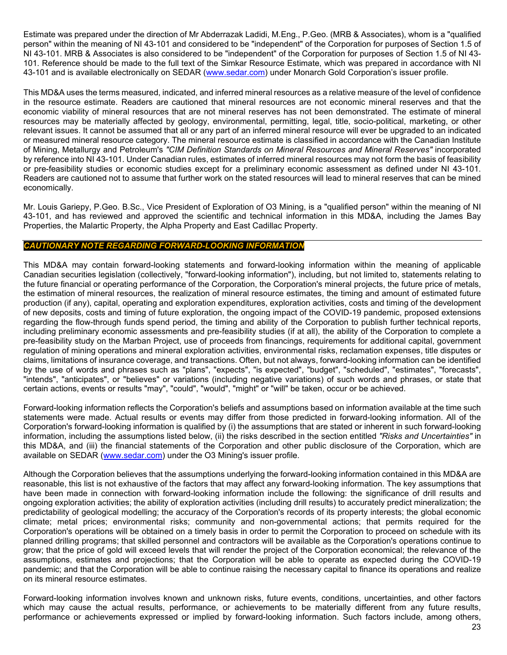Estimate was prepared under the direction of Mr Abderrazak Ladidi, M.Eng., P.Geo. (MRB & Associates), whom is a "qualified person" within the meaning of NI 43-101 and considered to be "independent" of the Corporation for purposes of Section 1.5 of NI 43-101. MRB & Associates is also considered to be "independent" of the Corporation for purposes of Section 1.5 of NI 43- 101. Reference should be made to the full text of the Simkar Resource Estimate, which was prepared in accordance with NI 43-101 and is available electronically on SEDAR [\(www.sedar.com\)](http://www.sedar.com/) under Monarch Gold Corporation's issuer profile.

This MD&A uses the terms measured, indicated, and inferred mineral resources as a relative measure of the level of confidence in the resource estimate. Readers are cautioned that mineral resources are not economic mineral reserves and that the economic viability of mineral resources that are not mineral reserves has not been demonstrated. The estimate of mineral resources may be materially affected by geology, environmental, permitting, legal, title, socio-political, marketing, or other relevant issues. It cannot be assumed that all or any part of an inferred mineral resource will ever be upgraded to an indicated or measured mineral resource category. The mineral resource estimate is classified in accordance with the Canadian Institute of Mining, Metallurgy and Petroleum's *"CIM Definition Standards on Mineral Resources and Mineral Reserves"* incorporated by reference into NI 43-101. Under Canadian rules, estimates of inferred mineral resources may not form the basis of feasibility or pre-feasibility studies or economic studies except for a preliminary economic assessment as defined under NI 43-101. Readers are cautioned not to assume that further work on the stated resources will lead to mineral reserves that can be mined economically.

Mr. Louis Gariepy, P.Geo. B.Sc., Vice President of Exploration of O3 Mining, is a "qualified person" within the meaning of NI 43-101, and has reviewed and approved the scientific and technical information in this MD&A, including the James Bay Properties, the Malartic Property, the Alpha Property and East Cadillac Property.

# *CAUTIONARY NOTE REGARDING FORWARD-LOOKING INFORMATION*

This MD&A may contain forward-looking statements and forward-looking information within the meaning of applicable Canadian securities legislation (collectively, "forward-looking information"), including, but not limited to, statements relating to the future financial or operating performance of the Corporation, the Corporation's mineral projects, the future price of metals, the estimation of mineral resources, the realization of mineral resource estimates, the timing and amount of estimated future production (if any), capital, operating and exploration expenditures, exploration activities, costs and timing of the development of new deposits, costs and timing of future exploration, the ongoing impact of the COVID-19 pandemic, proposed extensions regarding the flow-through funds spend period, the timing and ability of the Corporation to publish further technical reports, including preliminary economic assessments and pre-feasibility studies (if at all), the ability of the Corporation to complete a pre-feasibility study on the Marban Project, use of proceeds from financings, requirements for additional capital, government regulation of mining operations and mineral exploration activities, environmental risks, reclamation expenses, title disputes or claims, limitations of insurance coverage, and transactions. Often, but not always, forward-looking information can be identified by the use of words and phrases such as "plans", "expects", "is expected", "budget", "scheduled", "estimates", "forecasts", "intends", "anticipates", or "believes" or variations (including negative variations) of such words and phrases, or state that certain actions, events or results "may", "could", "would", "might" or "will" be taken, occur or be achieved.

Forward-looking information reflects the Corporation's beliefs and assumptions based on information available at the time such statements were made. Actual results or events may differ from those predicted in forward-looking information. All of the Corporation's forward-looking information is qualified by (i) the assumptions that are stated or inherent in such forward-looking information, including the assumptions listed below, (ii) the risks described in the section entitled *"Risks and Uncertainties"* in this MD&A, and (iii) the financial statements of the Corporation and other public disclosure of the Corporation, which are available on SEDAR [\(www.sedar.com\)](http://www.sedar.com/) under the O3 Mining's issuer profile.

Although the Corporation believes that the assumptions underlying the forward-looking information contained in this MD&A are reasonable, this list is not exhaustive of the factors that may affect any forward-looking information. The key assumptions that have been made in connection with forward-looking information include the following: the significance of drill results and ongoing exploration activities; the ability of exploration activities (including drill results) to accurately predict mineralization; the predictability of geological modelling; the accuracy of the Corporation's records of its property interests; the global economic climate; metal prices; environmental risks; community and non-governmental actions; that permits required for the Corporation's operations will be obtained on a timely basis in order to permit the Corporation to proceed on schedule with its planned drilling programs; that skilled personnel and contractors will be available as the Corporation's operations continue to grow; that the price of gold will exceed levels that will render the project of the Corporation economical; the relevance of the assumptions, estimates and projections; that the Corporation will be able to operate as expected during the COVID-19 pandemic; and that the Corporation will be able to continue raising the necessary capital to finance its operations and realize on its mineral resource estimates.

Forward-looking information involves known and unknown risks, future events, conditions, uncertainties, and other factors which may cause the actual results, performance, or achievements to be materially different from any future results, performance or achievements expressed or implied by forward-looking information. Such factors include, among others,